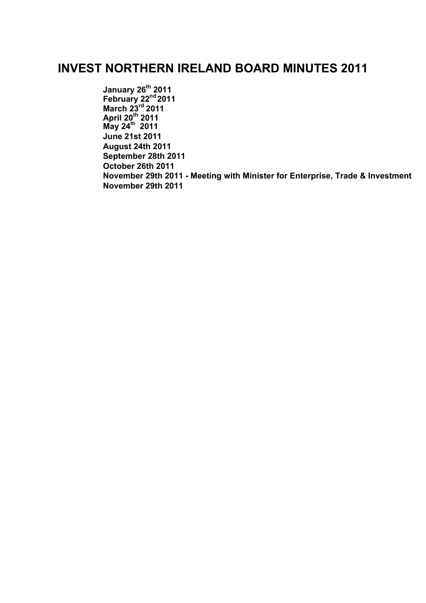# **INVEST NORTHERN IRELAND BOARD MINUTES 2011**

**[January 26th](#page-1-0) [2011](#page-1-0) [February 22](#page-7-0) nd [2011](#page-7-0) [March 23](#page-13-0) rd [2011](#page-13-0)  [April 20](#page-18-0) th [2011](#page-18-0) [May 24](#page-24-0)th 2011 [June 21st 2011](#page-29-0) [August 24th 2011](#page-37-0) [September 28th 2011](#page-43-0) [October 26th 2011](#page-48-0) [November 29th 2011 - Meeting with Minister for Enterprise, Trade & Investment](#page-53-0) [November 29th 2011](#page-58-0)**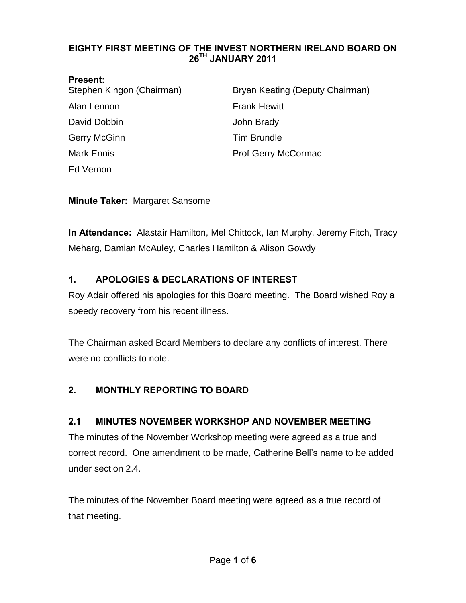#### <span id="page-1-0"></span>**EIGHTY FIRST MEETING OF THE INVEST NORTHERN IRELAND BOARD ON 26TH JANUARY 2011**

| <b>Present:</b> |
|-----------------|
|-----------------|

| .<br>Stephen Kingon (Chairman) | Bryan Keating (Deputy Chairman) |
|--------------------------------|---------------------------------|
| Alan Lennon                    | <b>Frank Hewitt</b>             |
| David Dobbin                   | John Brady                      |
| <b>Gerry McGinn</b>            | <b>Tim Brundle</b>              |
| <b>Mark Ennis</b>              | <b>Prof Gerry McCormac</b>      |
| Ed Vernon                      |                                 |

**Minute Taker:** Margaret Sansome

**In Attendance:** Alastair Hamilton, Mel Chittock, Ian Murphy, Jeremy Fitch, Tracy Meharg, Damian McAuley, Charles Hamilton & Alison Gowdy

## **1. APOLOGIES & DECLARATIONS OF INTEREST**

Roy Adair offered his apologies for this Board meeting. The Board wished Roy a speedy recovery from his recent illness.

The Chairman asked Board Members to declare any conflicts of interest. There were no conflicts to note.

## **2. MONTHLY REPORTING TO BOARD**

### **2.1 MINUTES NOVEMBER WORKSHOP AND NOVEMBER MEETING**

The minutes of the November Workshop meeting were agreed as a true and correct record. One amendment to be made, Catherine Bell's name to be added under section 2.4.

The minutes of the November Board meeting were agreed as a true record of that meeting.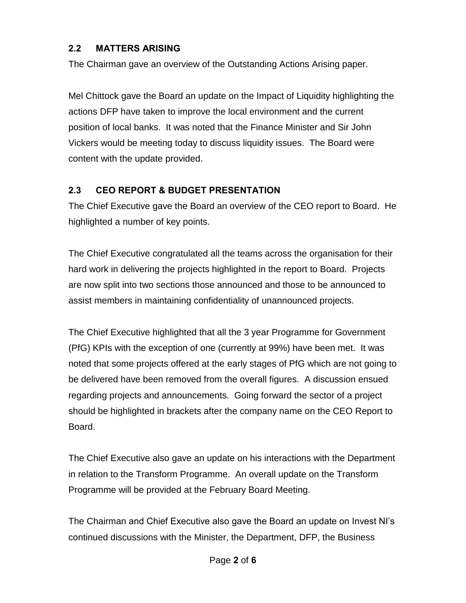### **2.2 MATTERS ARISING**

The Chairman gave an overview of the Outstanding Actions Arising paper.

Mel Chittock gave the Board an update on the Impact of Liquidity highlighting the actions DFP have taken to improve the local environment and the current position of local banks. It was noted that the Finance Minister and Sir John Vickers would be meeting today to discuss liquidity issues. The Board were content with the update provided.

### **2.3 CEO REPORT & BUDGET PRESENTATION**

The Chief Executive gave the Board an overview of the CEO report to Board. He highlighted a number of key points.

The Chief Executive congratulated all the teams across the organisation for their hard work in delivering the projects highlighted in the report to Board. Projects are now split into two sections those announced and those to be announced to assist members in maintaining confidentiality of unannounced projects.

The Chief Executive highlighted that all the 3 year Programme for Government (PfG) KPIs with the exception of one (currently at 99%) have been met. It was noted that some projects offered at the early stages of PfG which are not going to be delivered have been removed from the overall figures. A discussion ensued regarding projects and announcements. Going forward the sector of a project should be highlighted in brackets after the company name on the CEO Report to Board.

The Chief Executive also gave an update on his interactions with the Department in relation to the Transform Programme. An overall update on the Transform Programme will be provided at the February Board Meeting.

The Chairman and Chief Executive also gave the Board an update on Invest NI's continued discussions with the Minister, the Department, DFP, the Business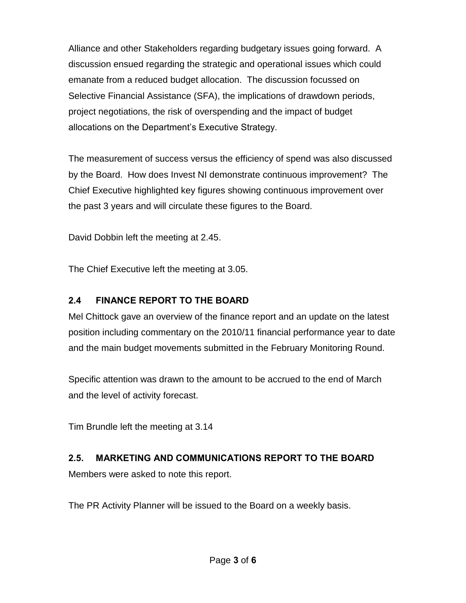Alliance and other Stakeholders regarding budgetary issues going forward. A discussion ensued regarding the strategic and operational issues which could emanate from a reduced budget allocation. The discussion focussed on Selective Financial Assistance (SFA), the implications of drawdown periods, project negotiations, the risk of overspending and the impact of budget allocations on the Department's Executive Strategy.

The measurement of success versus the efficiency of spend was also discussed by the Board. How does Invest NI demonstrate continuous improvement? The Chief Executive highlighted key figures showing continuous improvement over the past 3 years and will circulate these figures to the Board.

David Dobbin left the meeting at 2.45.

The Chief Executive left the meeting at 3.05.

## **2.4 FINANCE REPORT TO THE BOARD**

Mel Chittock gave an overview of the finance report and an update on the latest position including commentary on the 2010/11 financial performance year to date and the main budget movements submitted in the February Monitoring Round.

Specific attention was drawn to the amount to be accrued to the end of March and the level of activity forecast.

Tim Brundle left the meeting at 3.14

## **2.5. MARKETING AND COMMUNICATIONS REPORT TO THE BOARD**

Members were asked to note this report.

The PR Activity Planner will be issued to the Board on a weekly basis.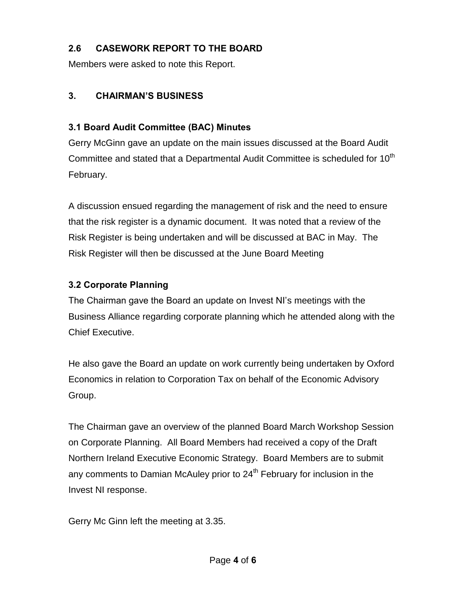## **2.6 CASEWORK REPORT TO THE BOARD**

Members were asked to note this Report.

### **3. CHAIRMAN'S BUSINESS**

### **3.1 Board Audit Committee (BAC) Minutes**

Gerry McGinn gave an update on the main issues discussed at the Board Audit Committee and stated that a Departmental Audit Committee is scheduled for 10<sup>th</sup> February.

A discussion ensued regarding the management of risk and the need to ensure that the risk register is a dynamic document. It was noted that a review of the Risk Register is being undertaken and will be discussed at BAC in May. The Risk Register will then be discussed at the June Board Meeting

### **3.2 Corporate Planning**

The Chairman gave the Board an update on Invest NI's meetings with the Business Alliance regarding corporate planning which he attended along with the Chief Executive.

He also gave the Board an update on work currently being undertaken by Oxford Economics in relation to Corporation Tax on behalf of the Economic Advisory Group.

The Chairman gave an overview of the planned Board March Workshop Session on Corporate Planning. All Board Members had received a copy of the Draft Northern Ireland Executive Economic Strategy. Board Members are to submit any comments to Damian McAuley prior to  $24<sup>th</sup>$  February for inclusion in the Invest NI response.

Gerry Mc Ginn left the meeting at 3.35.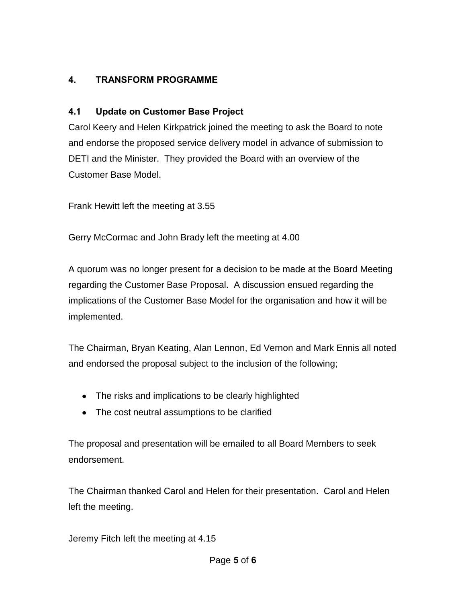## **4. TRANSFORM PROGRAMME**

### **4.1 Update on Customer Base Project**

Carol Keery and Helen Kirkpatrick joined the meeting to ask the Board to note and endorse the proposed service delivery model in advance of submission to DETI and the Minister. They provided the Board with an overview of the Customer Base Model.

Frank Hewitt left the meeting at 3.55

Gerry McCormac and John Brady left the meeting at 4.00

A quorum was no longer present for a decision to be made at the Board Meeting regarding the Customer Base Proposal. A discussion ensued regarding the implications of the Customer Base Model for the organisation and how it will be implemented.

The Chairman, Bryan Keating, Alan Lennon, Ed Vernon and Mark Ennis all noted and endorsed the proposal subject to the inclusion of the following;

- The risks and implications to be clearly highlighted
- The cost neutral assumptions to be clarified

The proposal and presentation will be emailed to all Board Members to seek endorsement.

The Chairman thanked Carol and Helen for their presentation. Carol and Helen left the meeting.

Jeremy Fitch left the meeting at 4.15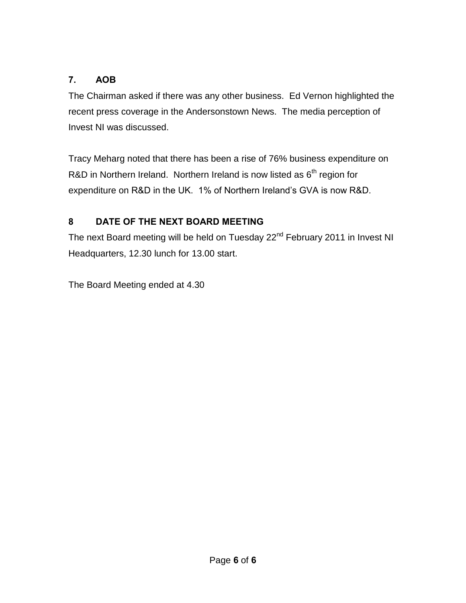## **7. AOB**

The Chairman asked if there was any other business. Ed Vernon highlighted the recent press coverage in the Andersonstown News. The media perception of Invest NI was discussed.

Tracy Meharg noted that there has been a rise of 76% business expenditure on R&D in Northern Ireland. Northern Ireland is now listed as  $6<sup>th</sup>$  region for expenditure on R&D in the UK. 1% of Northern Ireland's GVA is now R&D.

# **8 DATE OF THE NEXT BOARD MEETING**

The next Board meeting will be held on Tuesday 22<sup>nd</sup> February 2011 in Invest NI Headquarters, 12.30 lunch for 13.00 start.

The Board Meeting ended at 4.30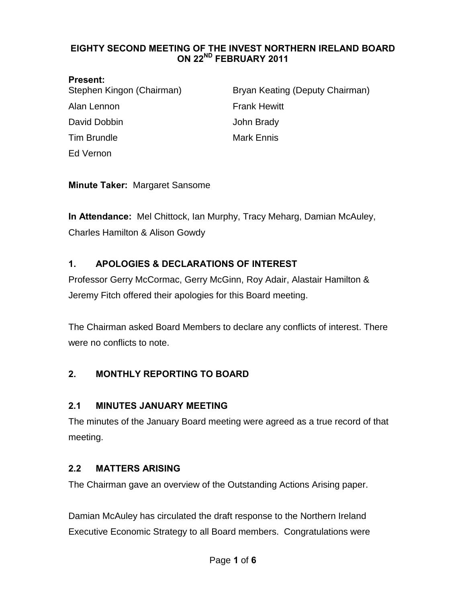#### <span id="page-7-0"></span>**EIGHTY SECOND MEETING OF THE INVEST NORTHERN IRELAND BOARD ON 22ND FEBRUARY 2011**

#### **Present:**

| Stephen Kingon (Chairman) | Bryan Keating (Deputy Chairman) |
|---------------------------|---------------------------------|
| Alan Lennon               | <b>Frank Hewitt</b>             |
| David Dobbin              | John Brady                      |
| <b>Tim Brundle</b>        | <b>Mark Ennis</b>               |
| Ed Vernon                 |                                 |

**Minute Taker:** Margaret Sansome

**In Attendance:** Mel Chittock, Ian Murphy, Tracy Meharg, Damian McAuley, Charles Hamilton & Alison Gowdy

## **1. APOLOGIES & DECLARATIONS OF INTEREST**

Professor Gerry McCormac, Gerry McGinn, Roy Adair, Alastair Hamilton & Jeremy Fitch offered their apologies for this Board meeting.

The Chairman asked Board Members to declare any conflicts of interest. There were no conflicts to note.

## **2. MONTHLY REPORTING TO BOARD**

### **2.1 MINUTES JANUARY MEETING**

The minutes of the January Board meeting were agreed as a true record of that meeting.

## **2.2 MATTERS ARISING**

The Chairman gave an overview of the Outstanding Actions Arising paper.

Damian McAuley has circulated the draft response to the Northern Ireland Executive Economic Strategy to all Board members. Congratulations were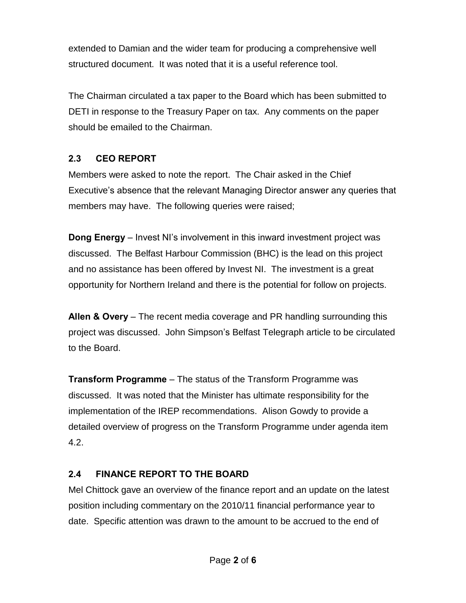extended to Damian and the wider team for producing a comprehensive well structured document. It was noted that it is a useful reference tool.

The Chairman circulated a tax paper to the Board which has been submitted to DETI in response to the Treasury Paper on tax. Any comments on the paper should be emailed to the Chairman.

## **2.3 CEO REPORT**

Members were asked to note the report. The Chair asked in the Chief Executive's absence that the relevant Managing Director answer any queries that members may have. The following queries were raised;

**Dong Energy** – Invest NI's involvement in this inward investment project was discussed. The Belfast Harbour Commission (BHC) is the lead on this project and no assistance has been offered by Invest NI. The investment is a great opportunity for Northern Ireland and there is the potential for follow on projects.

**Allen & Overy** – The recent media coverage and PR handling surrounding this project was discussed. John Simpson's Belfast Telegraph article to be circulated to the Board.

**Transform Programme** – The status of the Transform Programme was discussed. It was noted that the Minister has ultimate responsibility for the implementation of the IREP recommendations. Alison Gowdy to provide a detailed overview of progress on the Transform Programme under agenda item 4.2.

## **2.4 FINANCE REPORT TO THE BOARD**

Mel Chittock gave an overview of the finance report and an update on the latest position including commentary on the 2010/11 financial performance year to date. Specific attention was drawn to the amount to be accrued to the end of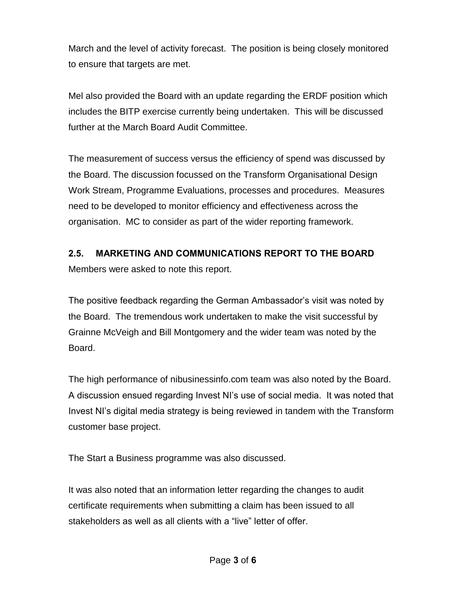March and the level of activity forecast. The position is being closely monitored to ensure that targets are met.

Mel also provided the Board with an update regarding the ERDF position which includes the BITP exercise currently being undertaken. This will be discussed further at the March Board Audit Committee.

The measurement of success versus the efficiency of spend was discussed by the Board. The discussion focussed on the Transform Organisational Design Work Stream, Programme Evaluations, processes and procedures. Measures need to be developed to monitor efficiency and effectiveness across the organisation. MC to consider as part of the wider reporting framework.

### **2.5. MARKETING AND COMMUNICATIONS REPORT TO THE BOARD**

Members were asked to note this report.

The positive feedback regarding the German Ambassador's visit was noted by the Board. The tremendous work undertaken to make the visit successful by Grainne McVeigh and Bill Montgomery and the wider team was noted by the Board.

The high performance of nibusinessinfo.com team was also noted by the Board. A discussion ensued regarding Invest NI's use of social media. It was noted that Invest NI's digital media strategy is being reviewed in tandem with the Transform customer base project.

The Start a Business programme was also discussed.

It was also noted that an information letter regarding the changes to audit certificate requirements when submitting a claim has been issued to all stakeholders as well as all clients with a "live" letter of offer.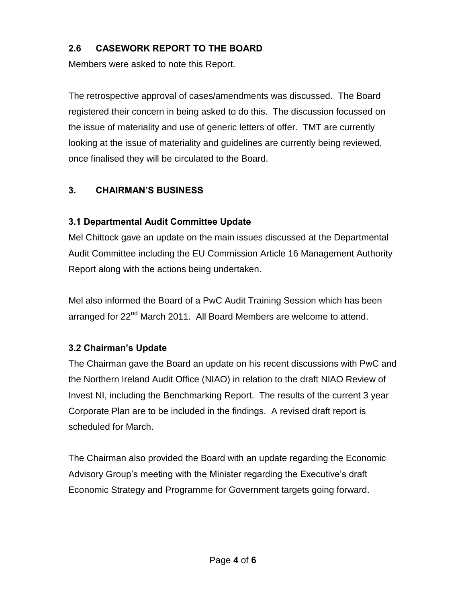## **2.6 CASEWORK REPORT TO THE BOARD**

Members were asked to note this Report.

The retrospective approval of cases/amendments was discussed. The Board registered their concern in being asked to do this. The discussion focussed on the issue of materiality and use of generic letters of offer. TMT are currently looking at the issue of materiality and guidelines are currently being reviewed, once finalised they will be circulated to the Board.

## **3. CHAIRMAN'S BUSINESS**

### **3.1 Departmental Audit Committee Update**

Mel Chittock gave an update on the main issues discussed at the Departmental Audit Committee including the EU Commission Article 16 Management Authority Report along with the actions being undertaken.

Mel also informed the Board of a PwC Audit Training Session which has been arranged for 22<sup>nd</sup> March 2011. All Board Members are welcome to attend.

## **3.2 Chairman's Update**

The Chairman gave the Board an update on his recent discussions with PwC and the Northern Ireland Audit Office (NIAO) in relation to the draft NIAO Review of Invest NI, including the Benchmarking Report. The results of the current 3 year Corporate Plan are to be included in the findings. A revised draft report is scheduled for March.

The Chairman also provided the Board with an update regarding the Economic Advisory Group's meeting with the Minister regarding the Executive's draft Economic Strategy and Programme for Government targets going forward.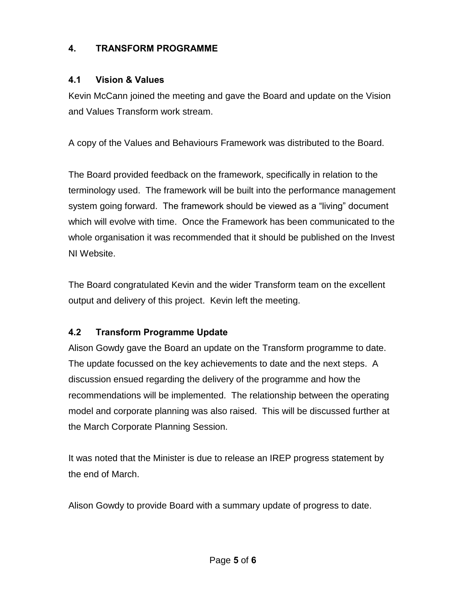## **4. TRANSFORM PROGRAMME**

### **4.1 Vision & Values**

Kevin McCann joined the meeting and gave the Board and update on the Vision and Values Transform work stream.

A copy of the Values and Behaviours Framework was distributed to the Board.

The Board provided feedback on the framework, specifically in relation to the terminology used. The framework will be built into the performance management system going forward. The framework should be viewed as a "living" document which will evolve with time. Once the Framework has been communicated to the whole organisation it was recommended that it should be published on the Invest NI Website.

The Board congratulated Kevin and the wider Transform team on the excellent output and delivery of this project. Kevin left the meeting.

## **4.2 Transform Programme Update**

Alison Gowdy gave the Board an update on the Transform programme to date. The update focussed on the key achievements to date and the next steps. A discussion ensued regarding the delivery of the programme and how the recommendations will be implemented. The relationship between the operating model and corporate planning was also raised. This will be discussed further at the March Corporate Planning Session.

It was noted that the Minister is due to release an IREP progress statement by the end of March.

Alison Gowdy to provide Board with a summary update of progress to date.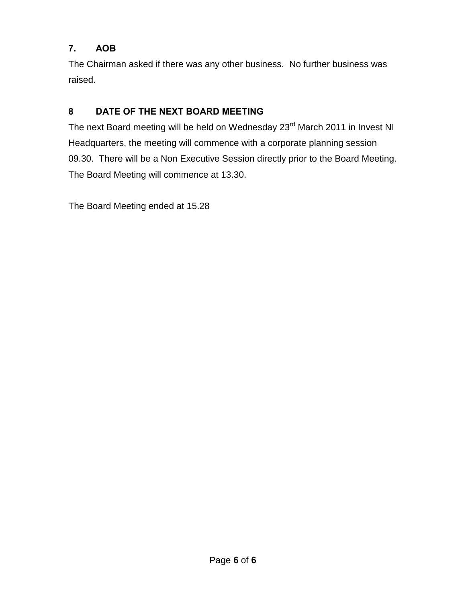## **7. AOB**

The Chairman asked if there was any other business. No further business was raised.

# **8 DATE OF THE NEXT BOARD MEETING**

The next Board meeting will be held on Wednesday 23<sup>rd</sup> March 2011 in Invest NI Headquarters, the meeting will commence with a corporate planning session 09.30. There will be a Non Executive Session directly prior to the Board Meeting. The Board Meeting will commence at 13.30.

The Board Meeting ended at 15.28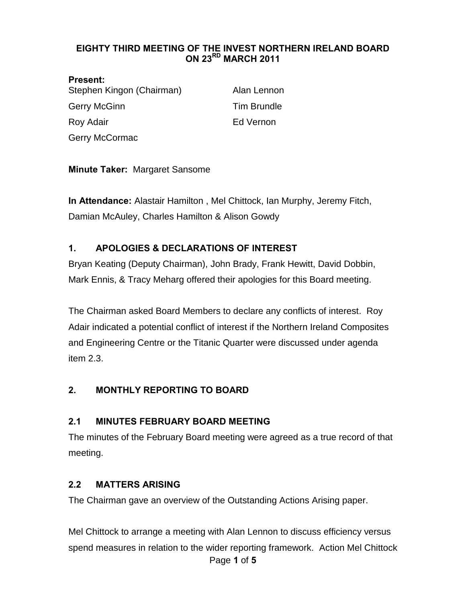#### <span id="page-13-0"></span>**EIGHTY THIRD MEETING OF THE INVEST NORTHERN IRELAND BOARD ON 23RD MARCH 2011**

# **Present:**  Stephen Kingon (Chairman) Alan Lennon Gerry McGinn **Tim Brundle** Roy Adair **Ed Vernon** Gerry McCormac

### **Minute Taker:** Margaret Sansome

**In Attendance:** Alastair Hamilton , Mel Chittock, Ian Murphy, Jeremy Fitch, Damian McAuley, Charles Hamilton & Alison Gowdy

### **1. APOLOGIES & DECLARATIONS OF INTEREST**

Bryan Keating (Deputy Chairman), John Brady, Frank Hewitt, David Dobbin, Mark Ennis, & Tracy Meharg offered their apologies for this Board meeting.

The Chairman asked Board Members to declare any conflicts of interest. Roy Adair indicated a potential conflict of interest if the Northern Ireland Composites and Engineering Centre or the Titanic Quarter were discussed under agenda item 2.3.

#### **2. MONTHLY REPORTING TO BOARD**

#### **2.1 MINUTES FEBRUARY BOARD MEETING**

The minutes of the February Board meeting were agreed as a true record of that meeting.

#### **2.2 MATTERS ARISING**

The Chairman gave an overview of the Outstanding Actions Arising paper.

Page **1** of **5** Mel Chittock to arrange a meeting with Alan Lennon to discuss efficiency versus spend measures in relation to the wider reporting framework. Action Mel Chittock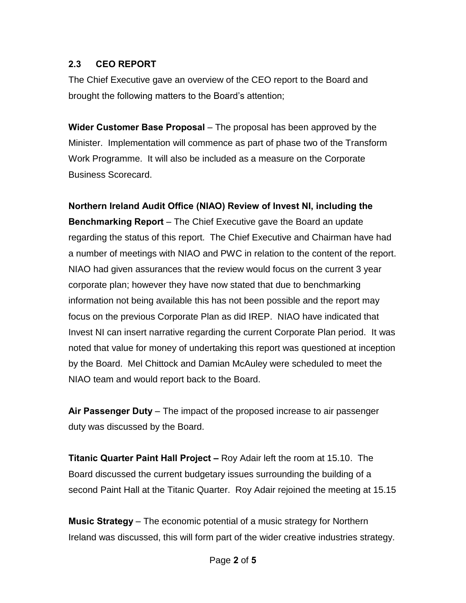### **2.3 CEO REPORT**

The Chief Executive gave an overview of the CEO report to the Board and brought the following matters to the Board's attention;

**Wider Customer Base Proposal** – The proposal has been approved by the Minister. Implementation will commence as part of phase two of the Transform Work Programme. It will also be included as a measure on the Corporate Business Scorecard.

**Northern Ireland Audit Office (NIAO) Review of Invest NI, including the Benchmarking Report** – The Chief Executive gave the Board an update regarding the status of this report. The Chief Executive and Chairman have had a number of meetings with NIAO and PWC in relation to the content of the report. NIAO had given assurances that the review would focus on the current 3 year corporate plan; however they have now stated that due to benchmarking information not being available this has not been possible and the report may focus on the previous Corporate Plan as did IREP. NIAO have indicated that Invest NI can insert narrative regarding the current Corporate Plan period. It was noted that value for money of undertaking this report was questioned at inception by the Board. Mel Chittock and Damian McAuley were scheduled to meet the NIAO team and would report back to the Board.

**Air Passenger Duty** – The impact of the proposed increase to air passenger duty was discussed by the Board.

**Titanic Quarter Paint Hall Project –** Roy Adair left the room at 15.10. The Board discussed the current budgetary issues surrounding the building of a second Paint Hall at the Titanic Quarter. Roy Adair rejoined the meeting at 15.15

**Music Strategy** – The economic potential of a music strategy for Northern Ireland was discussed, this will form part of the wider creative industries strategy.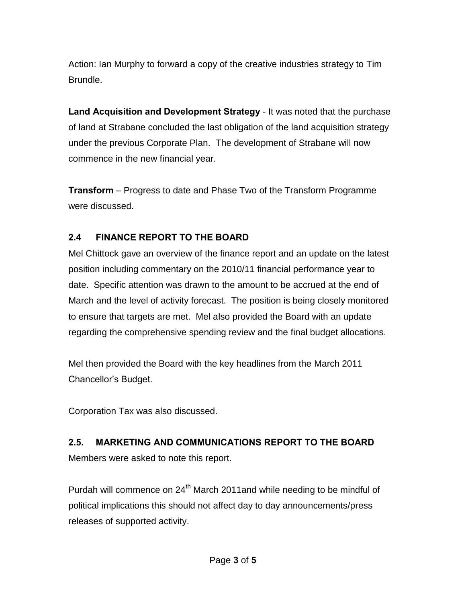Action: Ian Murphy to forward a copy of the creative industries strategy to Tim Brundle.

**Land Acquisition and Development Strategy** - It was noted that the purchase of land at Strabane concluded the last obligation of the land acquisition strategy under the previous Corporate Plan. The development of Strabane will now commence in the new financial year.

**Transform** – Progress to date and Phase Two of the Transform Programme were discussed.

### **2.4 FINANCE REPORT TO THE BOARD**

Mel Chittock gave an overview of the finance report and an update on the latest position including commentary on the 2010/11 financial performance year to date. Specific attention was drawn to the amount to be accrued at the end of March and the level of activity forecast. The position is being closely monitored to ensure that targets are met. Mel also provided the Board with an update regarding the comprehensive spending review and the final budget allocations.

Mel then provided the Board with the key headlines from the March 2011 Chancellor's Budget.

Corporation Tax was also discussed.

# **2.5. MARKETING AND COMMUNICATIONS REPORT TO THE BOARD**  Members were asked to note this report.

Purdah will commence on 24<sup>th</sup> March 2011and while needing to be mindful of political implications this should not affect day to day announcements/press releases of supported activity.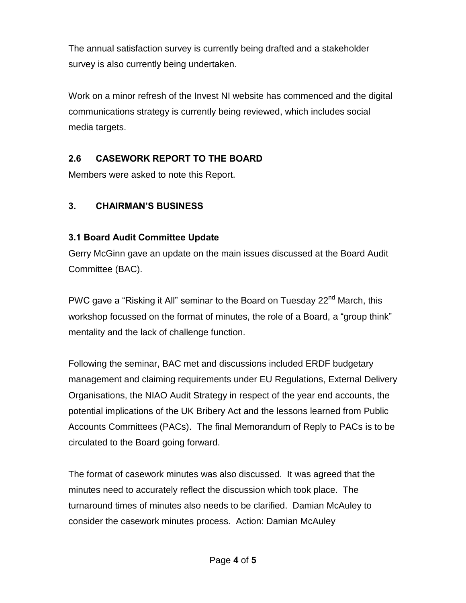The annual satisfaction survey is currently being drafted and a stakeholder survey is also currently being undertaken.

Work on a minor refresh of the Invest NI website has commenced and the digital communications strategy is currently being reviewed, which includes social media targets.

## **2.6 CASEWORK REPORT TO THE BOARD**

Members were asked to note this Report.

## **3. CHAIRMAN'S BUSINESS**

## **3.1 Board Audit Committee Update**

Gerry McGinn gave an update on the main issues discussed at the Board Audit Committee (BAC).

PWC gave a "Risking it All" seminar to the Board on Tuesday 22<sup>nd</sup> March, this workshop focussed on the format of minutes, the role of a Board, a "group think" mentality and the lack of challenge function.

Following the seminar, BAC met and discussions included ERDF budgetary management and claiming requirements under EU Regulations, External Delivery Organisations, the NIAO Audit Strategy in respect of the year end accounts, the potential implications of the UK Bribery Act and the lessons learned from Public Accounts Committees (PACs). The final Memorandum of Reply to PACs is to be circulated to the Board going forward.

The format of casework minutes was also discussed. It was agreed that the minutes need to accurately reflect the discussion which took place. The turnaround times of minutes also needs to be clarified. Damian McAuley to consider the casework minutes process. Action: Damian McAuley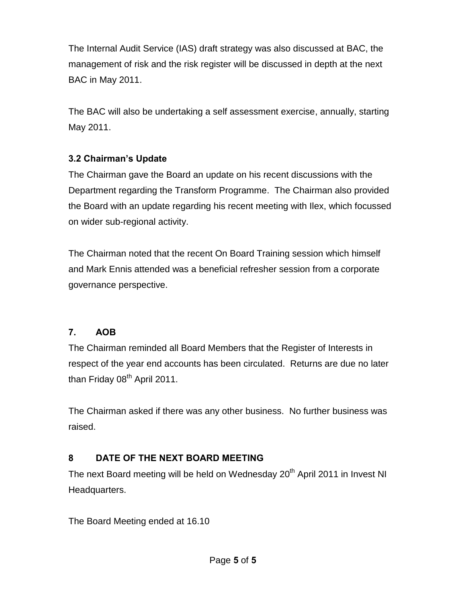The Internal Audit Service (IAS) draft strategy was also discussed at BAC, the management of risk and the risk register will be discussed in depth at the next BAC in May 2011.

The BAC will also be undertaking a self assessment exercise, annually, starting May 2011.

### **3.2 Chairman's Update**

The Chairman gave the Board an update on his recent discussions with the Department regarding the Transform Programme. The Chairman also provided the Board with an update regarding his recent meeting with Ilex, which focussed on wider sub-regional activity.

The Chairman noted that the recent On Board Training session which himself and Mark Ennis attended was a beneficial refresher session from a corporate governance perspective.

## **7. AOB**

The Chairman reminded all Board Members that the Register of Interests in respect of the year end accounts has been circulated. Returns are due no later than Friday 08<sup>th</sup> April 2011.

The Chairman asked if there was any other business. No further business was raised.

## **8 DATE OF THE NEXT BOARD MEETING**

The next Board meeting will be held on Wednesday 20<sup>th</sup> April 2011 in Invest NI Headquarters.

The Board Meeting ended at 16.10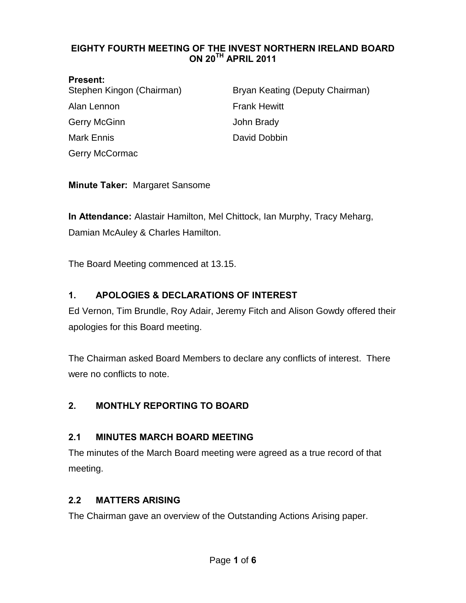#### <span id="page-18-0"></span>**EIGHTY FOURTH MEETING OF THE INVEST NORTHERN IRELAND BOARD ON 20TH APRIL 2011**

#### **Present:**

| Stephen Kingon (Chairman) | Bryan Keating (Deputy Chairman) |
|---------------------------|---------------------------------|
| Alan Lennon               | <b>Frank Hewitt</b>             |
| <b>Gerry McGinn</b>       | John Brady                      |
| <b>Mark Ennis</b>         | David Dobbin                    |
| <b>Gerry McCormac</b>     |                                 |

**Minute Taker:** Margaret Sansome

**In Attendance:** Alastair Hamilton, Mel Chittock, Ian Murphy, Tracy Meharg, Damian McAuley & Charles Hamilton.

The Board Meeting commenced at 13.15.

### **1. APOLOGIES & DECLARATIONS OF INTEREST**

Ed Vernon, Tim Brundle, Roy Adair, Jeremy Fitch and Alison Gowdy offered their apologies for this Board meeting.

The Chairman asked Board Members to declare any conflicts of interest. There were no conflicts to note.

### **2. MONTHLY REPORTING TO BOARD**

#### **2.1 MINUTES MARCH BOARD MEETING**

The minutes of the March Board meeting were agreed as a true record of that meeting.

#### **2.2 MATTERS ARISING**

The Chairman gave an overview of the Outstanding Actions Arising paper.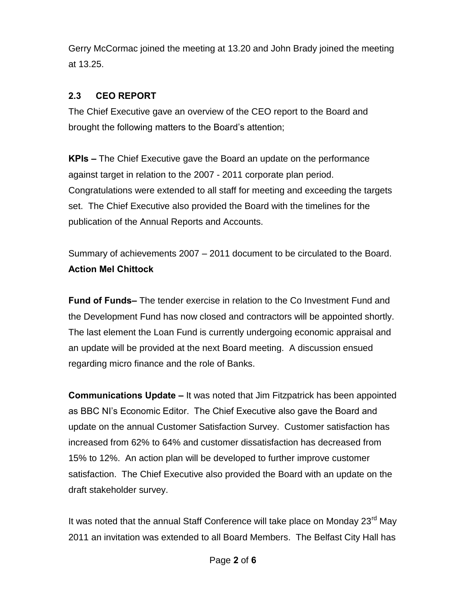Gerry McCormac joined the meeting at 13.20 and John Brady joined the meeting at 13.25.

## **2.3 CEO REPORT**

The Chief Executive gave an overview of the CEO report to the Board and brought the following matters to the Board's attention;

**KPIs –** The Chief Executive gave the Board an update on the performance against target in relation to the 2007 - 2011 corporate plan period. Congratulations were extended to all staff for meeting and exceeding the targets set. The Chief Executive also provided the Board with the timelines for the publication of the Annual Reports and Accounts.

Summary of achievements 2007 – 2011 document to be circulated to the Board. **Action Mel Chittock**

**Fund of Funds–** The tender exercise in relation to the Co Investment Fund and the Development Fund has now closed and contractors will be appointed shortly. The last element the Loan Fund is currently undergoing economic appraisal and an update will be provided at the next Board meeting. A discussion ensued regarding micro finance and the role of Banks.

**Communications Update –** It was noted that Jim Fitzpatrick has been appointed as BBC NI's Economic Editor. The Chief Executive also gave the Board and update on the annual Customer Satisfaction Survey. Customer satisfaction has increased from 62% to 64% and customer dissatisfaction has decreased from 15% to 12%. An action plan will be developed to further improve customer satisfaction. The Chief Executive also provided the Board with an update on the draft stakeholder survey.

It was noted that the annual Staff Conference will take place on Monday 23<sup>rd</sup> May 2011 an invitation was extended to all Board Members. The Belfast City Hall has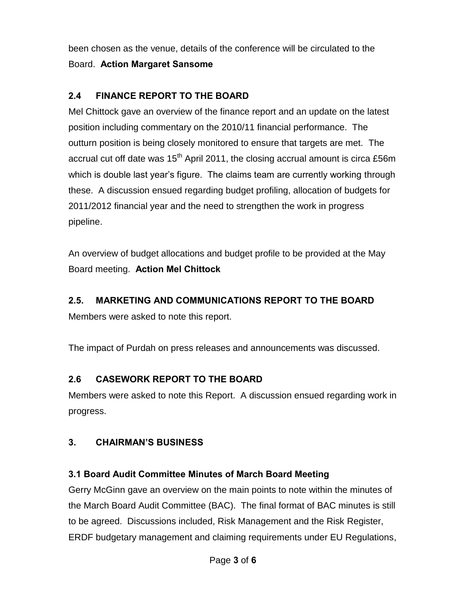been chosen as the venue, details of the conference will be circulated to the Board. **Action Margaret Sansome**

## **2.4 FINANCE REPORT TO THE BOARD**

Mel Chittock gave an overview of the finance report and an update on the latest position including commentary on the 2010/11 financial performance. The outturn position is being closely monitored to ensure that targets are met. The accrual cut off date was  $15<sup>th</sup>$  April 2011, the closing accrual amount is circa £56m which is double last year's figure. The claims team are currently working through these. A discussion ensued regarding budget profiling, allocation of budgets for 2011/2012 financial year and the need to strengthen the work in progress pipeline.

An overview of budget allocations and budget profile to be provided at the May Board meeting. **Action Mel Chittock**

#### **2.5. MARKETING AND COMMUNICATIONS REPORT TO THE BOARD**

Members were asked to note this report.

The impact of Purdah on press releases and announcements was discussed.

### **2.6 CASEWORK REPORT TO THE BOARD**

Members were asked to note this Report. A discussion ensued regarding work in progress.

### **3. CHAIRMAN'S BUSINESS**

### **3.1 Board Audit Committee Minutes of March Board Meeting**

Gerry McGinn gave an overview on the main points to note within the minutes of the March Board Audit Committee (BAC). The final format of BAC minutes is still to be agreed. Discussions included, Risk Management and the Risk Register, ERDF budgetary management and claiming requirements under EU Regulations,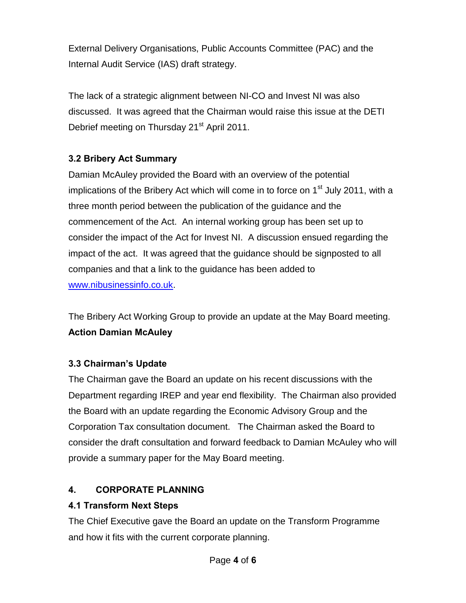External Delivery Organisations, Public Accounts Committee (PAC) and the Internal Audit Service (IAS) draft strategy.

The lack of a strategic alignment between NI-CO and Invest NI was also discussed. It was agreed that the Chairman would raise this issue at the DETI Debrief meeting on Thursday 21<sup>st</sup> April 2011.

## **3.2 Bribery Act Summary**

Damian McAuley provided the Board with an overview of the potential implications of the Bribery Act which will come in to force on  $1<sup>st</sup>$  July 2011, with a three month period between the publication of the guidance and the commencement of the Act. An internal working group has been set up to consider the impact of the Act for Invest NI. A discussion ensued regarding the impact of the act. It was agreed that the guidance should be signposted to all companies and that a link to the guidance has been added to [www.nibusinessinfo.co.uk.](http://www.nibusinessinfo.co.uk/)

The Bribery Act Working Group to provide an update at the May Board meeting. **Action Damian McAuley**

## **3.3 Chairman's Update**

The Chairman gave the Board an update on his recent discussions with the Department regarding IREP and year end flexibility. The Chairman also provided the Board with an update regarding the Economic Advisory Group and the Corporation Tax consultation document. The Chairman asked the Board to consider the draft consultation and forward feedback to Damian McAuley who will provide a summary paper for the May Board meeting.

## **4. CORPORATE PLANNING**

## **4.1 Transform Next Steps**

The Chief Executive gave the Board an update on the Transform Programme and how it fits with the current corporate planning.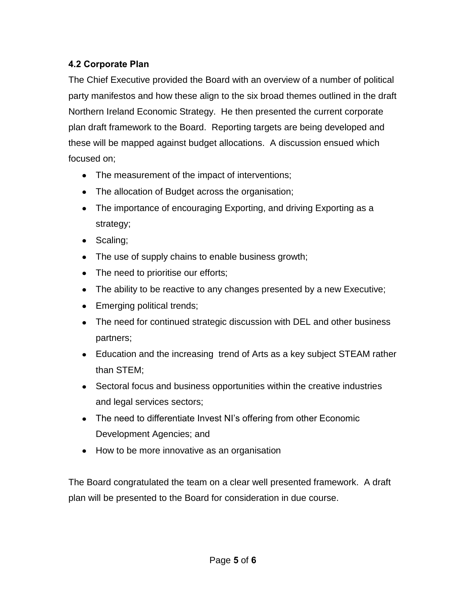## **4.2 Corporate Plan**

The Chief Executive provided the Board with an overview of a number of political party manifestos and how these align to the six broad themes outlined in the draft Northern Ireland Economic Strategy. He then presented the current corporate plan draft framework to the Board. Reporting targets are being developed and these will be mapped against budget allocations. A discussion ensued which focused on;

- The measurement of the impact of interventions;
- The allocation of Budget across the organisation;
- The importance of encouraging Exporting, and driving Exporting as a strategy;
- Scaling;
- The use of supply chains to enable business growth;
- The need to prioritise our efforts;
- The ability to be reactive to any changes presented by a new Executive;
- Emerging political trends;
- The need for continued strategic discussion with DEL and other business partners;
- Education and the increasing trend of Arts as a key subject STEAM rather than STEM;
- Sectoral focus and business opportunities within the creative industries and legal services sectors;
- The need to differentiate Invest NI's offering from other Economic Development Agencies; and
- How to be more innovative as an organisation

The Board congratulated the team on a clear well presented framework. A draft plan will be presented to the Board for consideration in due course.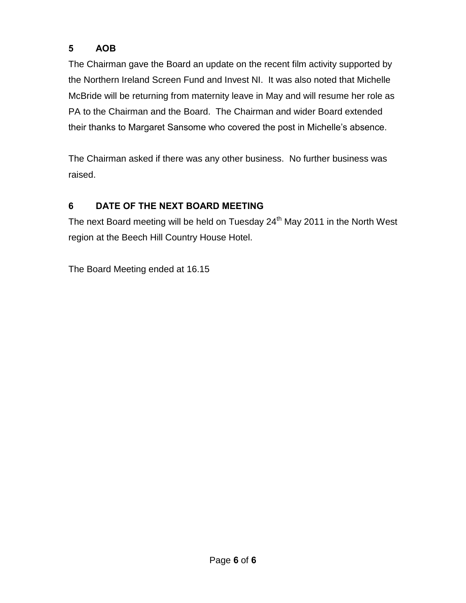## **5 AOB**

The Chairman gave the Board an update on the recent film activity supported by the Northern Ireland Screen Fund and Invest NI. It was also noted that Michelle McBride will be returning from maternity leave in May and will resume her role as PA to the Chairman and the Board. The Chairman and wider Board extended their thanks to Margaret Sansome who covered the post in Michelle's absence.

The Chairman asked if there was any other business. No further business was raised.

# **6 DATE OF THE NEXT BOARD MEETING**

The next Board meeting will be held on Tuesday 24<sup>th</sup> May 2011 in the North West region at the Beech Hill Country House Hotel.

The Board Meeting ended at 16.15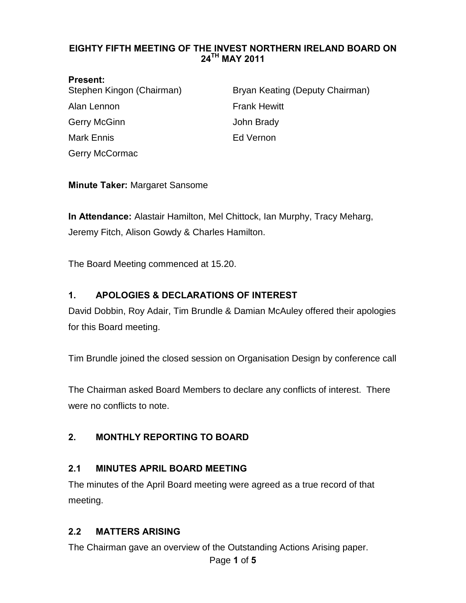#### <span id="page-24-0"></span>**EIGHTY FIFTH MEETING OF THE INVEST NORTHERN IRELAND BOARD ON 24TH MAY 2011**

#### **Present:**

| Stephen Kingon (Chairman) | Bryan Keating (Deputy Chairman) |
|---------------------------|---------------------------------|
| Alan Lennon               | <b>Frank Hewitt</b>             |
| Gerry McGinn              | John Brady                      |
| Mark Ennis                | Ed Vernon                       |
| Gerry McCormac            |                                 |

#### **Minute Taker:** Margaret Sansome

**In Attendance:** Alastair Hamilton, Mel Chittock, Ian Murphy, Tracy Meharg, Jeremy Fitch, Alison Gowdy & Charles Hamilton.

The Board Meeting commenced at 15.20.

#### **1. APOLOGIES & DECLARATIONS OF INTEREST**

David Dobbin, Roy Adair, Tim Brundle & Damian McAuley offered their apologies for this Board meeting.

Tim Brundle joined the closed session on Organisation Design by conference call

The Chairman asked Board Members to declare any conflicts of interest. There were no conflicts to note.

#### **2. MONTHLY REPORTING TO BOARD**

#### **2.1 MINUTES APRIL BOARD MEETING**

The minutes of the April Board meeting were agreed as a true record of that meeting.

#### **2.2 MATTERS ARISING**

The Chairman gave an overview of the Outstanding Actions Arising paper.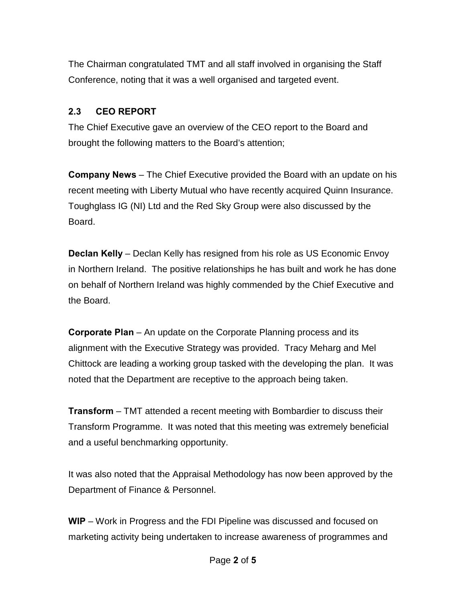The Chairman congratulated TMT and all staff involved in organising the Staff Conference, noting that it was a well organised and targeted event.

#### **2.3 CEO REPORT**

The Chief Executive gave an overview of the CEO report to the Board and brought the following matters to the Board's attention;

**Company News** – The Chief Executive provided the Board with an update on his recent meeting with Liberty Mutual who have recently acquired Quinn Insurance. Toughglass IG (NI) Ltd and the Red Sky Group were also discussed by the Board.

**Declan Kelly** – Declan Kelly has resigned from his role as US Economic Envoy in Northern Ireland. The positive relationships he has built and work he has done on behalf of Northern Ireland was highly commended by the Chief Executive and the Board.

**Corporate Plan** – An update on the Corporate Planning process and its alignment with the Executive Strategy was provided. Tracy Meharg and Mel Chittock are leading a working group tasked with the developing the plan. It was noted that the Department are receptive to the approach being taken.

**Transform** – TMT attended a recent meeting with Bombardier to discuss their Transform Programme. It was noted that this meeting was extremely beneficial and a useful benchmarking opportunity.

It was also noted that the Appraisal Methodology has now been approved by the Department of Finance & Personnel.

**WIP** – Work in Progress and the FDI Pipeline was discussed and focused on marketing activity being undertaken to increase awareness of programmes and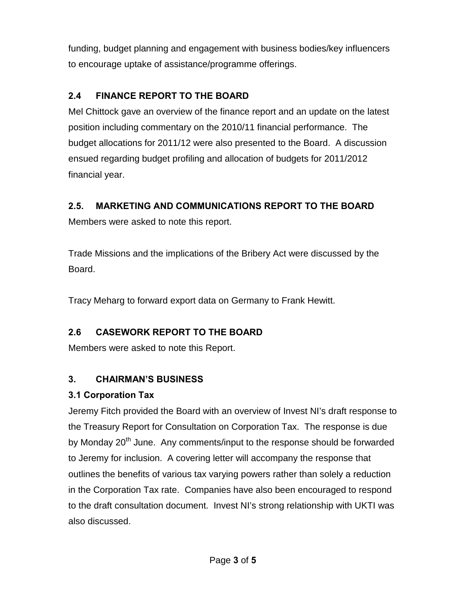funding, budget planning and engagement with business bodies/key influencers to encourage uptake of assistance/programme offerings.

## **2.4 FINANCE REPORT TO THE BOARD**

Mel Chittock gave an overview of the finance report and an update on the latest position including commentary on the 2010/11 financial performance. The budget allocations for 2011/12 were also presented to the Board. A discussion ensued regarding budget profiling and allocation of budgets for 2011/2012 financial year.

### **2.5. MARKETING AND COMMUNICATIONS REPORT TO THE BOARD**

Members were asked to note this report.

Trade Missions and the implications of the Bribery Act were discussed by the Board.

Tracy Meharg to forward export data on Germany to Frank Hewitt.

## **2.6 CASEWORK REPORT TO THE BOARD**

Members were asked to note this Report.

### **3. CHAIRMAN'S BUSINESS**

### **3.1 Corporation Tax**

Jeremy Fitch provided the Board with an overview of Invest NI's draft response to the Treasury Report for Consultation on Corporation Tax. The response is due by Monday 20<sup>th</sup> June. Any comments/input to the response should be forwarded to Jeremy for inclusion. A covering letter will accompany the response that outlines the benefits of various tax varying powers rather than solely a reduction in the Corporation Tax rate. Companies have also been encouraged to respond to the draft consultation document. Invest NI's strong relationship with UKTI was also discussed.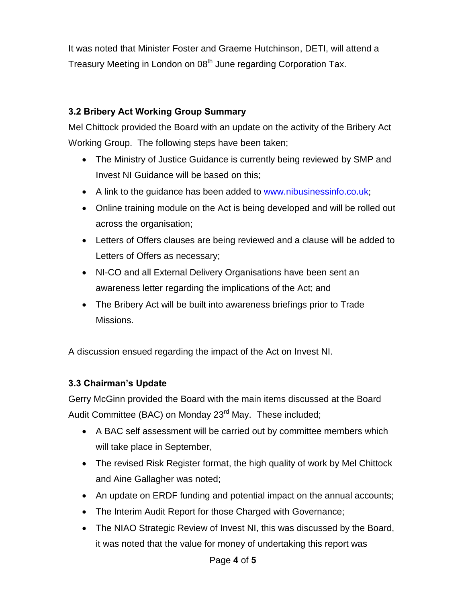It was noted that Minister Foster and Graeme Hutchinson, DETI, will attend a Treasury Meeting in London on 08<sup>th</sup> June regarding Corporation Tax.

### **3.2 Bribery Act Working Group Summary**

Mel Chittock provided the Board with an update on the activity of the Bribery Act Working Group. The following steps have been taken;

- The Ministry of Justice Guidance is currently being reviewed by SMP and Invest NI Guidance will be based on this;
- A link to the guidance has been added to [www.nibusinessinfo.co.uk](http://www.nibusinessinfo.co.uk/);
- Online training module on the Act is being developed and will be rolled out across the organisation;
- Letters of Offers clauses are being reviewed and a clause will be added to Letters of Offers as necessary;
- NI-CO and all External Delivery Organisations have been sent an awareness letter regarding the implications of the Act; and
- The Bribery Act will be built into awareness briefings prior to Trade Missions.

A discussion ensued regarding the impact of the Act on Invest NI.

### **3.3 Chairman's Update**

Gerry McGinn provided the Board with the main items discussed at the Board Audit Committee (BAC) on Monday 23<sup>rd</sup> May. These included;

- A BAC self assessment will be carried out by committee members which will take place in September,
- The revised Risk Register format, the high quality of work by Mel Chittock and Aine Gallagher was noted;
- An update on ERDF funding and potential impact on the annual accounts;
- The Interim Audit Report for those Charged with Governance;
- The NIAO Strategic Review of Invest NI, this was discussed by the Board, it was noted that the value for money of undertaking this report was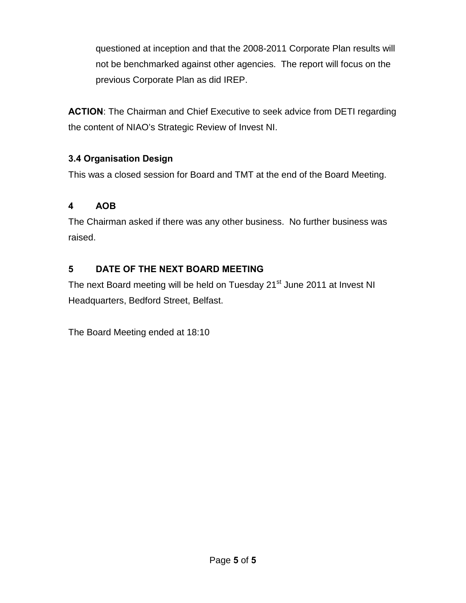questioned at inception and that the 2008-2011 Corporate Plan results will not be benchmarked against other agencies. The report will focus on the previous Corporate Plan as did IREP.

**ACTION**: The Chairman and Chief Executive to seek advice from DETI regarding the content of NIAO's Strategic Review of Invest NI.

## **3.4 Organisation Design**

This was a closed session for Board and TMT at the end of the Board Meeting.

## **4 AOB**

The Chairman asked if there was any other business. No further business was raised.

## **5 DATE OF THE NEXT BOARD MEETING**

The next Board meeting will be held on Tuesday 21<sup>st</sup> June 2011 at Invest NI Headquarters, Bedford Street, Belfast.

The Board Meeting ended at 18:10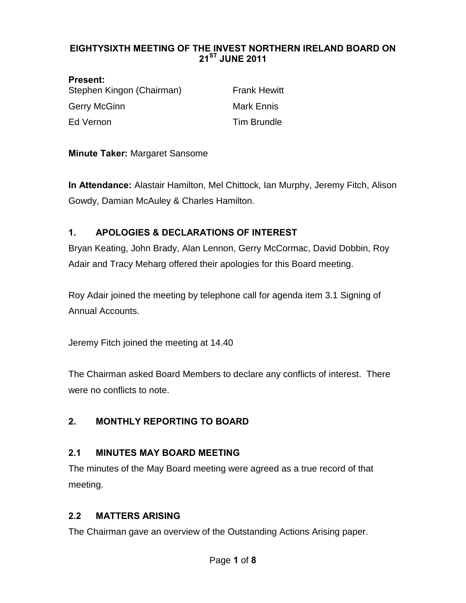#### <span id="page-29-0"></span>**EIGHTYSIXTH MEETING OF THE INVEST NORTHERN IRELAND BOARD ON 21ST JUNE 2011**

**Present:**  Stephen Kingon (Chairman) Frank Hewitt Gerry McGinn **Mark Ennis** Mark Ennis Ed Vernon **Tim Brundle** 

**Minute Taker:** Margaret Sansome

**In Attendance:** Alastair Hamilton, Mel Chittock, Ian Murphy, Jeremy Fitch, Alison Gowdy, Damian McAuley & Charles Hamilton.

## **1. APOLOGIES & DECLARATIONS OF INTEREST**

Bryan Keating, John Brady, Alan Lennon, Gerry McCormac, David Dobbin, Roy Adair and Tracy Meharg offered their apologies for this Board meeting.

Roy Adair joined the meeting by telephone call for agenda item 3.1 Signing of Annual Accounts.

Jeremy Fitch joined the meeting at 14.40

The Chairman asked Board Members to declare any conflicts of interest. There were no conflicts to note.

### **2. MONTHLY REPORTING TO BOARD**

### **2.1 MINUTES MAY BOARD MEETING**

The minutes of the May Board meeting were agreed as a true record of that meeting.

### **2.2 MATTERS ARISING**

The Chairman gave an overview of the Outstanding Actions Arising paper.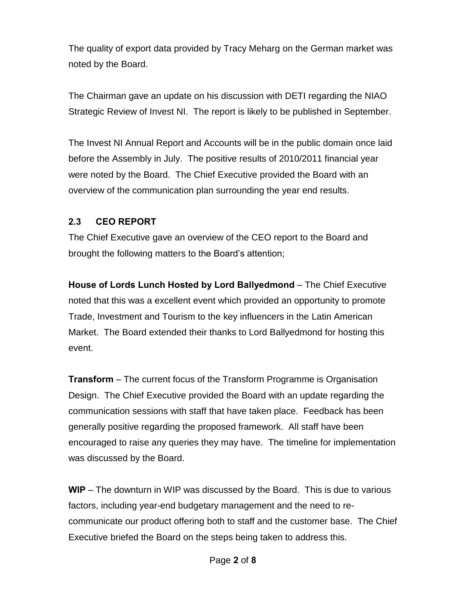The quality of export data provided by Tracy Meharg on the German market was noted by the Board.

The Chairman gave an update on his discussion with DETI regarding the NIAO Strategic Review of Invest NI. The report is likely to be published in September.

The Invest NI Annual Report and Accounts will be in the public domain once laid before the Assembly in July. The positive results of 2010/2011 financial year were noted by the Board. The Chief Executive provided the Board with an overview of the communication plan surrounding the year end results.

### **2.3 CEO REPORT**

The Chief Executive gave an overview of the CEO report to the Board and brought the following matters to the Board's attention;

**House of Lords Lunch Hosted by Lord Ballyedmond** – The Chief Executive noted that this was a excellent event which provided an opportunity to promote Trade, Investment and Tourism to the key influencers in the Latin American Market. The Board extended their thanks to Lord Ballyedmond for hosting this event.

**Transform** – The current focus of the Transform Programme is Organisation Design. The Chief Executive provided the Board with an update regarding the communication sessions with staff that have taken place. Feedback has been generally positive regarding the proposed framework. All staff have been encouraged to raise any queries they may have. The timeline for implementation was discussed by the Board.

**WIP** – The downturn in WIP was discussed by the Board. This is due to various factors, including year-end budgetary management and the need to recommunicate our product offering both to staff and the customer base. The Chief Executive briefed the Board on the steps being taken to address this.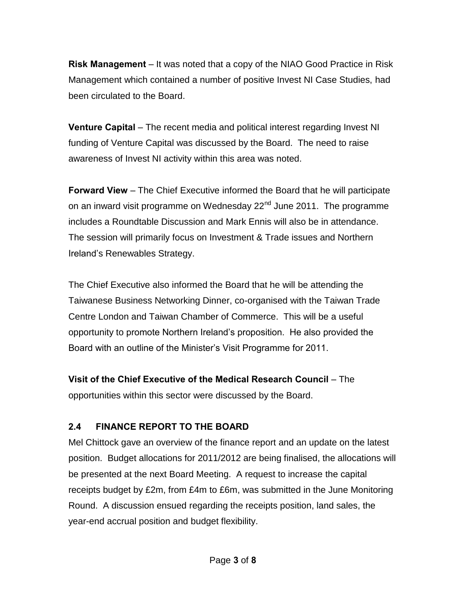**Risk Management** – It was noted that a copy of the NIAO Good Practice in Risk Management which contained a number of positive Invest NI Case Studies, had been circulated to the Board.

**Venture Capital** – The recent media and political interest regarding Invest NI funding of Venture Capital was discussed by the Board. The need to raise awareness of Invest NI activity within this area was noted.

**Forward View** – The Chief Executive informed the Board that he will participate on an inward visit programme on Wednesday 22<sup>nd</sup> June 2011. The programme includes a Roundtable Discussion and Mark Ennis will also be in attendance. The session will primarily focus on Investment & Trade issues and Northern Ireland's Renewables Strategy.

The Chief Executive also informed the Board that he will be attending the Taiwanese Business Networking Dinner, co-organised with the Taiwan Trade Centre London and Taiwan Chamber of Commerce. This will be a useful opportunity to promote Northern Ireland's proposition. He also provided the Board with an outline of the Minister's Visit Programme for 2011.

**Visit of the Chief Executive of the Medical Research Council** – The

opportunities within this sector were discussed by the Board.

# **2.4 FINANCE REPORT TO THE BOARD**

Mel Chittock gave an overview of the finance report and an update on the latest position. Budget allocations for 2011/2012 are being finalised, the allocations will be presented at the next Board Meeting. A request to increase the capital receipts budget by £2m, from £4m to £6m, was submitted in the June Monitoring Round. A discussion ensued regarding the receipts position, land sales, the year-end accrual position and budget flexibility.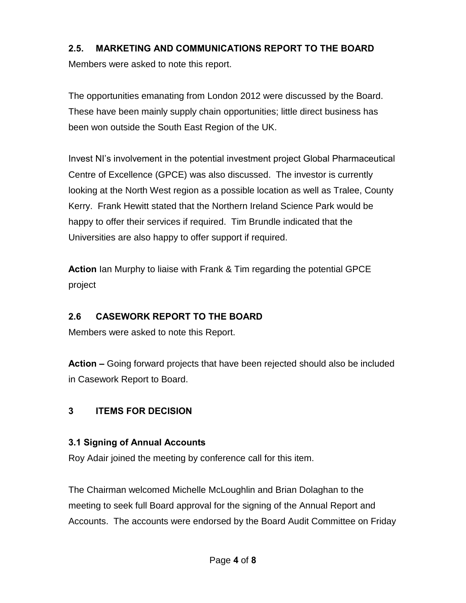#### **2.5. MARKETING AND COMMUNICATIONS REPORT TO THE BOARD**

Members were asked to note this report.

The opportunities emanating from London 2012 were discussed by the Board. These have been mainly supply chain opportunities; little direct business has been won outside the South East Region of the UK.

Invest NI's involvement in the potential investment project Global Pharmaceutical Centre of Excellence (GPCE) was also discussed. The investor is currently looking at the North West region as a possible location as well as Tralee, County Kerry. Frank Hewitt stated that the Northern Ireland Science Park would be happy to offer their services if required. Tim Brundle indicated that the Universities are also happy to offer support if required.

**Action** Ian Murphy to liaise with Frank & Tim regarding the potential GPCE project

### **2.6 CASEWORK REPORT TO THE BOARD**

Members were asked to note this Report.

**Action –** Going forward projects that have been rejected should also be included in Casework Report to Board.

### **3 ITEMS FOR DECISION**

### **3.1 Signing of Annual Accounts**

Roy Adair joined the meeting by conference call for this item.

The Chairman welcomed Michelle McLoughlin and Brian Dolaghan to the meeting to seek full Board approval for the signing of the Annual Report and Accounts. The accounts were endorsed by the Board Audit Committee on Friday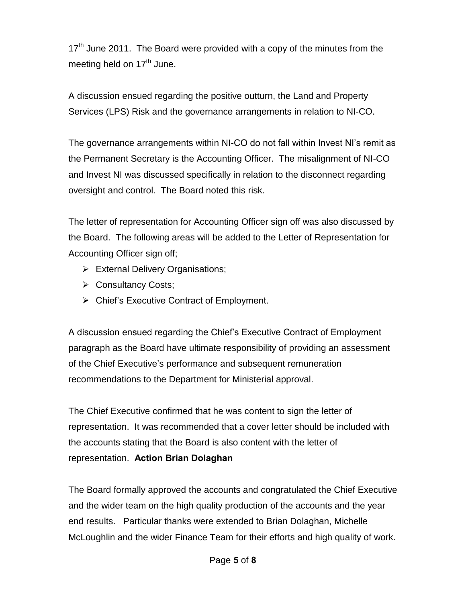$17<sup>th</sup>$  June 2011. The Board were provided with a copy of the minutes from the meeting held on  $17<sup>th</sup>$  June.

A discussion ensued regarding the positive outturn, the Land and Property Services (LPS) Risk and the governance arrangements in relation to NI-CO.

The governance arrangements within NI-CO do not fall within Invest NI's remit as the Permanent Secretary is the Accounting Officer. The misalignment of NI-CO and Invest NI was discussed specifically in relation to the disconnect regarding oversight and control. The Board noted this risk.

The letter of representation for Accounting Officer sign off was also discussed by the Board. The following areas will be added to the Letter of Representation for Accounting Officer sign off;

- $\triangleright$  External Delivery Organisations;
- $\triangleright$  Consultancy Costs;
- $\triangleright$  Chief's Executive Contract of Employment.

A discussion ensued regarding the Chief's Executive Contract of Employment paragraph as the Board have ultimate responsibility of providing an assessment of the Chief Executive's performance and subsequent remuneration recommendations to the Department for Ministerial approval.

The Chief Executive confirmed that he was content to sign the letter of representation. It was recommended that a cover letter should be included with the accounts stating that the Board is also content with the letter of representation. **Action Brian Dolaghan** 

The Board formally approved the accounts and congratulated the Chief Executive and the wider team on the high quality production of the accounts and the year end results. Particular thanks were extended to Brian Dolaghan, Michelle McLoughlin and the wider Finance Team for their efforts and high quality of work.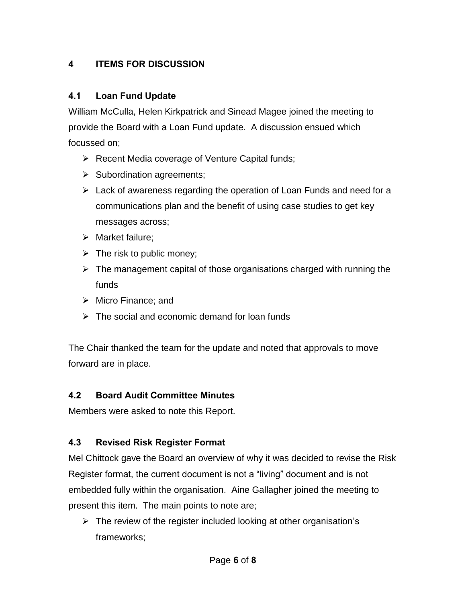## **4 ITEMS FOR DISCUSSION**

## **4.1 Loan Fund Update**

William McCulla, Helen Kirkpatrick and Sinead Magee joined the meeting to provide the Board with a Loan Fund update. A discussion ensued which focussed on;

- $\triangleright$  Recent Media coverage of Venture Capital funds;
- $\triangleright$  Subordination agreements;
- $\triangleright$  Lack of awareness regarding the operation of Loan Funds and need for a communications plan and the benefit of using case studies to get key messages across;
- $\triangleright$  Market failure;
- $\triangleright$  The risk to public money;
- $\triangleright$  The management capital of those organisations charged with running the funds
- $\triangleright$  Micro Finance: and
- $\triangleright$  The social and economic demand for loan funds

The Chair thanked the team for the update and noted that approvals to move forward are in place.

## **4.2 Board Audit Committee Minutes**

Members were asked to note this Report.

# **4.3 Revised Risk Register Format**

Mel Chittock gave the Board an overview of why it was decided to revise the Risk Register format, the current document is not a "living" document and is not embedded fully within the organisation. Aine Gallagher joined the meeting to present this item. The main points to note are;

 $\triangleright$  The review of the register included looking at other organisation's frameworks;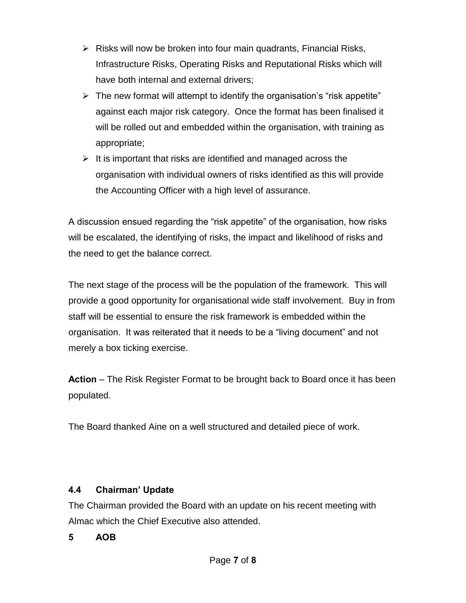- $\triangleright$  Risks will now be broken into four main quadrants, Financial Risks, Infrastructure Risks, Operating Risks and Reputational Risks which will have both internal and external drivers;
- $\triangleright$  The new format will attempt to identify the organisation's "risk appetite" against each major risk category. Once the format has been finalised it will be rolled out and embedded within the organisation, with training as appropriate;
- $\triangleright$  It is important that risks are identified and managed across the organisation with individual owners of risks identified as this will provide the Accounting Officer with a high level of assurance.

A discussion ensued regarding the "risk appetite" of the organisation, how risks will be escalated, the identifying of risks, the impact and likelihood of risks and the need to get the balance correct.

The next stage of the process will be the population of the framework. This will provide a good opportunity for organisational wide staff involvement. Buy in from staff will be essential to ensure the risk framework is embedded within the organisation. It was reiterated that it needs to be a "living document" and not merely a box ticking exercise.

**Action** – The Risk Register Format to be brought back to Board once it has been populated.

The Board thanked Aine on a well structured and detailed piece of work.

### **4.4 Chairman' Update**

The Chairman provided the Board with an update on his recent meeting with Almac which the Chief Executive also attended.

## **5 AOB**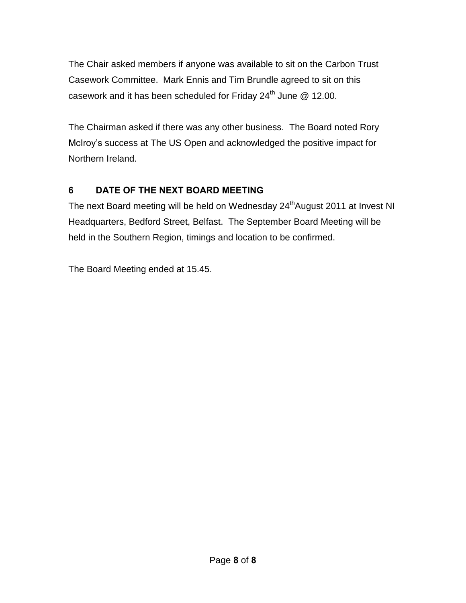The Chair asked members if anyone was available to sit on the Carbon Trust Casework Committee. Mark Ennis and Tim Brundle agreed to sit on this casework and it has been scheduled for Friday 24<sup>th</sup> June @ 12.00.

The Chairman asked if there was any other business. The Board noted Rory McIroy's success at The US Open and acknowledged the positive impact for Northern Ireland.

## **6 DATE OF THE NEXT BOARD MEETING**

The next Board meeting will be held on Wednesday 24<sup>th</sup>August 2011 at Invest NI Headquarters, Bedford Street, Belfast. The September Board Meeting will be held in the Southern Region, timings and location to be confirmed.

The Board Meeting ended at 15.45.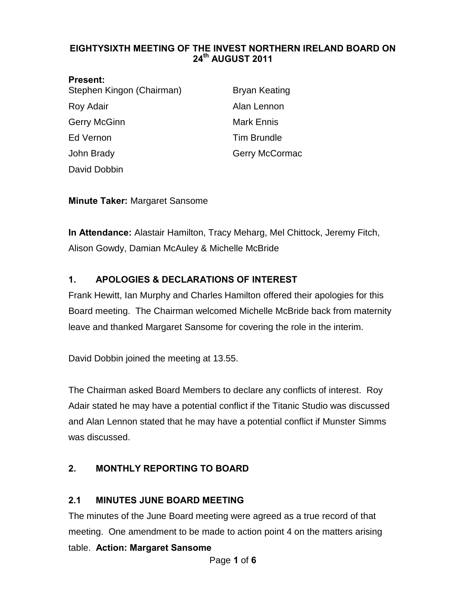#### <span id="page-37-0"></span>**EIGHTYSIXTH MEETING OF THE INVEST NORTHERN IRELAND BOARD ON 24th AUGUST 2011**

| <b>Present:</b>           |                      |
|---------------------------|----------------------|
| Stephen Kingon (Chairman) | <b>Bryan Keating</b> |
| Roy Adair                 | Alan Lennon          |
| <b>Gerry McGinn</b>       | <b>Mark Ennis</b>    |
| Ed Vernon                 | <b>Tim Brundle</b>   |
| John Brady                | Gerry McCormac       |
| David Dobbin              |                      |

**Minute Taker:** Margaret Sansome

**In Attendance:** Alastair Hamilton, Tracy Meharg, Mel Chittock, Jeremy Fitch, Alison Gowdy, Damian McAuley & Michelle McBride

### **1. APOLOGIES & DECLARATIONS OF INTEREST**

Frank Hewitt, Ian Murphy and Charles Hamilton offered their apologies for this Board meeting. The Chairman welcomed Michelle McBride back from maternity leave and thanked Margaret Sansome for covering the role in the interim.

David Dobbin joined the meeting at 13.55.

The Chairman asked Board Members to declare any conflicts of interest. Roy Adair stated he may have a potential conflict if the Titanic Studio was discussed and Alan Lennon stated that he may have a potential conflict if Munster Simms was discussed.

### **2. MONTHLY REPORTING TO BOARD**

#### **2.1 MINUTES JUNE BOARD MEETING**

The minutes of the June Board meeting were agreed as a true record of that meeting. One amendment to be made to action point 4 on the matters arising table. **Action: Margaret Sansome**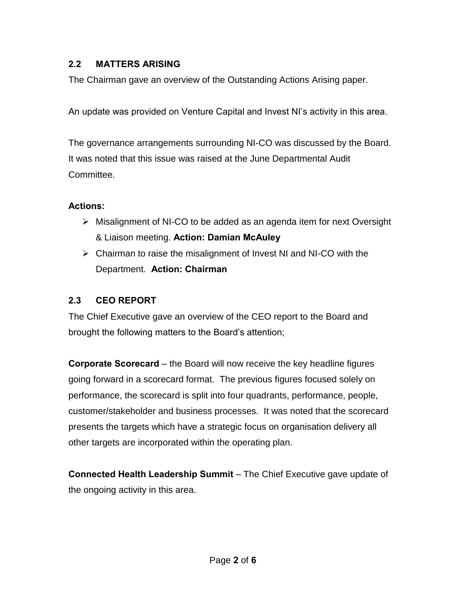## **2.2 MATTERS ARISING**

The Chairman gave an overview of the Outstanding Actions Arising paper.

An update was provided on Venture Capital and Invest NI's activity in this area.

The governance arrangements surrounding NI-CO was discussed by the Board. It was noted that this issue was raised at the June Departmental Audit Committee.

### **Actions:**

- Misalignment of NI-CO to be added as an agenda item for next Oversight & Liaison meeting. **Action: Damian McAuley**
- $\triangleright$  Chairman to raise the misalignment of Invest NI and NI-CO with the Department. **Action: Chairman**

### **2.3 CEO REPORT**

The Chief Executive gave an overview of the CEO report to the Board and brought the following matters to the Board's attention;

**Corporate Scorecard** – the Board will now receive the key headline figures going forward in a scorecard format. The previous figures focused solely on performance, the scorecard is split into four quadrants, performance, people, customer/stakeholder and business processes. It was noted that the scorecard presents the targets which have a strategic focus on organisation delivery all other targets are incorporated within the operating plan.

**Connected Health Leadership Summit** – The Chief Executive gave update of the ongoing activity in this area.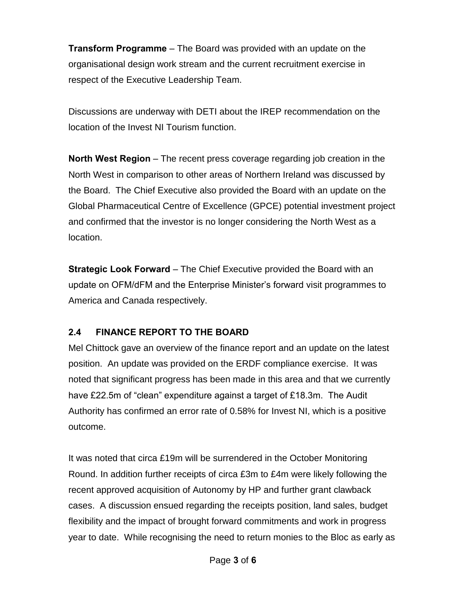**Transform Programme** – The Board was provided with an update on the organisational design work stream and the current recruitment exercise in respect of the Executive Leadership Team.

Discussions are underway with DETI about the IREP recommendation on the location of the Invest NI Tourism function.

**North West Region** – The recent press coverage regarding job creation in the North West in comparison to other areas of Northern Ireland was discussed by the Board. The Chief Executive also provided the Board with an update on the Global Pharmaceutical Centre of Excellence (GPCE) potential investment project and confirmed that the investor is no longer considering the North West as a location.

**Strategic Look Forward** – The Chief Executive provided the Board with an update on OFM/dFM and the Enterprise Minister's forward visit programmes to America and Canada respectively.

### **2.4 FINANCE REPORT TO THE BOARD**

Mel Chittock gave an overview of the finance report and an update on the latest position. An update was provided on the ERDF compliance exercise. It was noted that significant progress has been made in this area and that we currently have £22.5m of "clean" expenditure against a target of £18.3m. The Audit Authority has confirmed an error rate of 0.58% for Invest NI, which is a positive outcome.

It was noted that circa £19m will be surrendered in the October Monitoring Round. In addition further receipts of circa £3m to £4m were likely following the recent approved acquisition of Autonomy by HP and further grant clawback cases. A discussion ensued regarding the receipts position, land sales, budget flexibility and the impact of brought forward commitments and work in progress year to date. While recognising the need to return monies to the Bloc as early as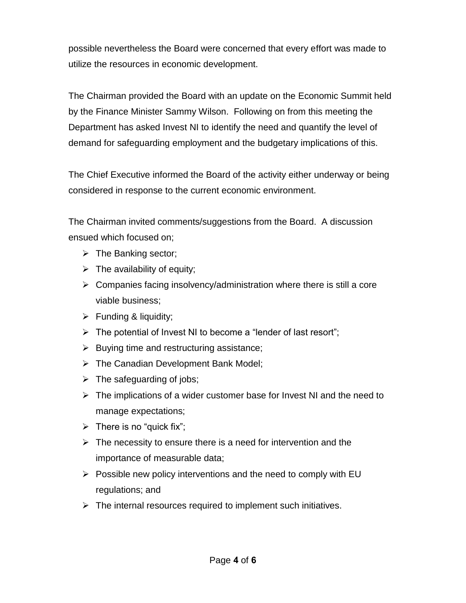possible nevertheless the Board were concerned that every effort was made to utilize the resources in economic development.

The Chairman provided the Board with an update on the Economic Summit held by the Finance Minister Sammy Wilson. Following on from this meeting the Department has asked Invest NI to identify the need and quantify the level of demand for safeguarding employment and the budgetary implications of this.

The Chief Executive informed the Board of the activity either underway or being considered in response to the current economic environment.

The Chairman invited comments/suggestions from the Board. A discussion ensued which focused on;

- $\triangleright$  The Banking sector;
- $\triangleright$  The availability of equity;
- $\triangleright$  Companies facing insolvency/administration where there is still a core viable business;
- $\triangleright$  Funding & liquidity;
- $\triangleright$  The potential of Invest NI to become a "lender of last resort";
- $\triangleright$  Buying time and restructuring assistance;
- > The Canadian Development Bank Model;
- $\triangleright$  The safeguarding of jobs;
- $\triangleright$  The implications of a wider customer base for Invest NI and the need to manage expectations;
- $\triangleright$  There is no "quick fix";
- $\triangleright$  The necessity to ensure there is a need for intervention and the importance of measurable data;
- $\triangleright$  Possible new policy interventions and the need to comply with EU regulations; and
- $\triangleright$  The internal resources required to implement such initiatives.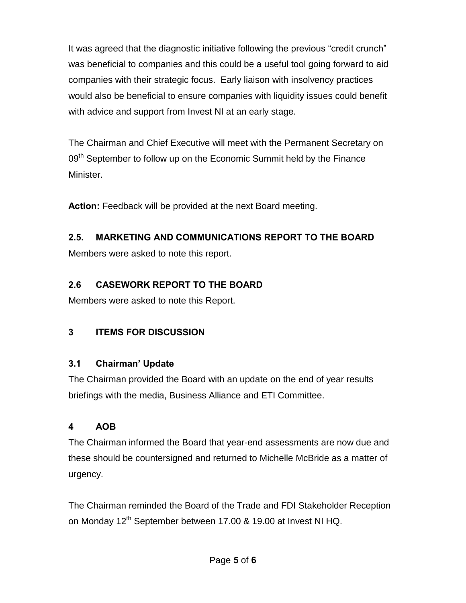It was agreed that the diagnostic initiative following the previous "credit crunch" was beneficial to companies and this could be a useful tool going forward to aid companies with their strategic focus. Early liaison with insolvency practices would also be beneficial to ensure companies with liquidity issues could benefit with advice and support from Invest NI at an early stage.

The Chairman and Chief Executive will meet with the Permanent Secretary on 09<sup>th</sup> September to follow up on the Economic Summit held by the Finance Minister.

**Action:** Feedback will be provided at the next Board meeting.

## **2.5. MARKETING AND COMMUNICATIONS REPORT TO THE BOARD**

Members were asked to note this report.

## **2.6 CASEWORK REPORT TO THE BOARD**

Members were asked to note this Report.

# **3 ITEMS FOR DISCUSSION**

## **3.1 Chairman' Update**

The Chairman provided the Board with an update on the end of year results briefings with the media, Business Alliance and ETI Committee.

## **4 AOB**

The Chairman informed the Board that year-end assessments are now due and these should be countersigned and returned to Michelle McBride as a matter of urgency.

The Chairman reminded the Board of the Trade and FDI Stakeholder Reception on Monday 12<sup>th</sup> September between 17.00 & 19.00 at Invest NI HQ.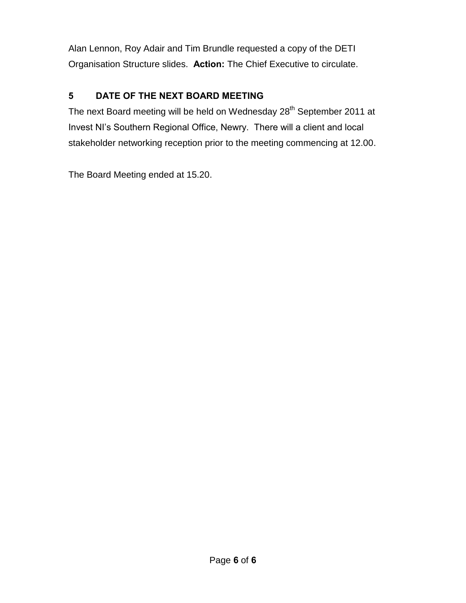Alan Lennon, Roy Adair and Tim Brundle requested a copy of the DETI Organisation Structure slides. **Action:** The Chief Executive to circulate.

# **5 DATE OF THE NEXT BOARD MEETING**

The next Board meeting will be held on Wednesday 28<sup>th</sup> September 2011 at Invest NI's Southern Regional Office, Newry. There will a client and local stakeholder networking reception prior to the meeting commencing at 12.00.

The Board Meeting ended at 15.20.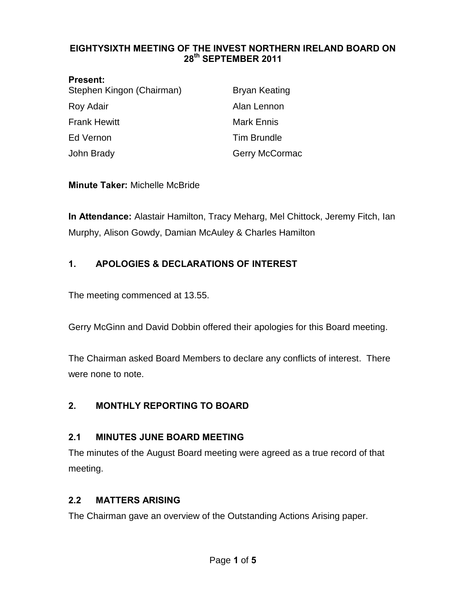#### <span id="page-43-0"></span>**EIGHTYSIXTH MEETING OF THE INVEST NORTHERN IRELAND BOARD ON 28th SEPTEMBER 2011**

| <b>Present:</b>           |                       |
|---------------------------|-----------------------|
| Stephen Kingon (Chairman) | <b>Bryan Keating</b>  |
| Roy Adair                 | Alan Lennon           |
| <b>Frank Hewitt</b>       | <b>Mark Ennis</b>     |
| Ed Vernon                 | <b>Tim Brundle</b>    |
| John Brady                | <b>Gerry McCormac</b> |

#### **Minute Taker:** Michelle McBride

**In Attendance:** Alastair Hamilton, Tracy Meharg, Mel Chittock, Jeremy Fitch, Ian Murphy, Alison Gowdy, Damian McAuley & Charles Hamilton

### **1. APOLOGIES & DECLARATIONS OF INTEREST**

The meeting commenced at 13.55.

Gerry McGinn and David Dobbin offered their apologies for this Board meeting.

The Chairman asked Board Members to declare any conflicts of interest. There were none to note.

#### **2. MONTHLY REPORTING TO BOARD**

#### **2.1 MINUTES JUNE BOARD MEETING**

The minutes of the August Board meeting were agreed as a true record of that meeting.

#### **2.2 MATTERS ARISING**

The Chairman gave an overview of the Outstanding Actions Arising paper.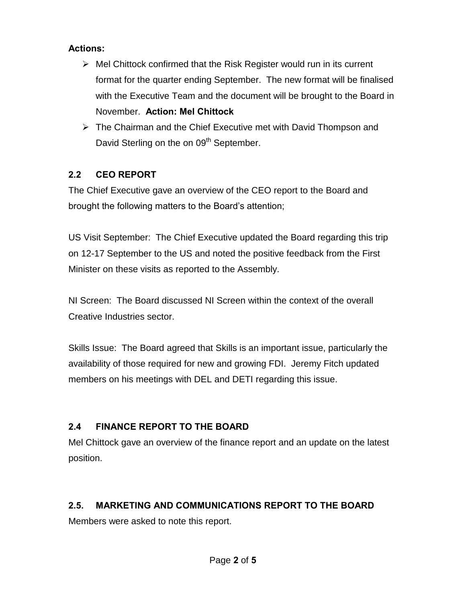### **Actions:**

- $\triangleright$  Mel Chittock confirmed that the Risk Register would run in its current format for the quarter ending September. The new format will be finalised with the Executive Team and the document will be brought to the Board in November. **Action: Mel Chittock**
- $\triangleright$  The Chairman and the Chief Executive met with David Thompson and David Sterling on the on 09<sup>th</sup> September.

## **2.2 CEO REPORT**

The Chief Executive gave an overview of the CEO report to the Board and brought the following matters to the Board's attention;

US Visit September: The Chief Executive updated the Board regarding this trip on 12-17 September to the US and noted the positive feedback from the First Minister on these visits as reported to the Assembly.

NI Screen: The Board discussed NI Screen within the context of the overall Creative Industries sector.

Skills Issue: The Board agreed that Skills is an important issue, particularly the availability of those required for new and growing FDI. Jeremy Fitch updated members on his meetings with DEL and DETI regarding this issue.

# **2.4 FINANCE REPORT TO THE BOARD**

Mel Chittock gave an overview of the finance report and an update on the latest position.

# **2.5. MARKETING AND COMMUNICATIONS REPORT TO THE BOARD**

Members were asked to note this report.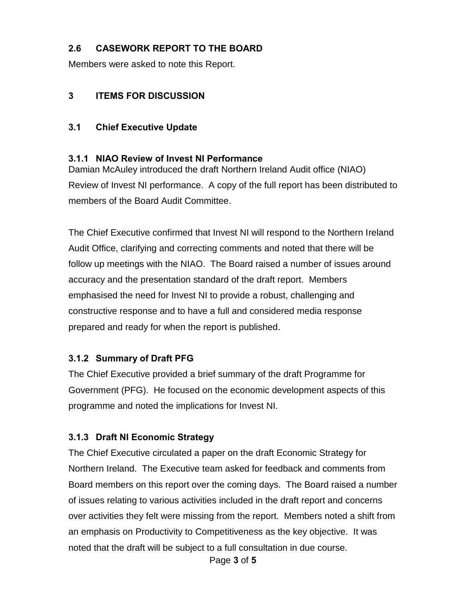### **2.6 CASEWORK REPORT TO THE BOARD**

Members were asked to note this Report.

### **3 ITEMS FOR DISCUSSION**

### **3.1 Chief Executive Update**

### **3.1.1 NIAO Review of Invest NI Performance**

Damian McAuley introduced the draft Northern Ireland Audit office (NIAO) Review of Invest NI performance. A copy of the full report has been distributed to members of the Board Audit Committee.

The Chief Executive confirmed that Invest NI will respond to the Northern Ireland Audit Office, clarifying and correcting comments and noted that there will be follow up meetings with the NIAO. The Board raised a number of issues around accuracy and the presentation standard of the draft report. Members emphasised the need for Invest NI to provide a robust, challenging and constructive response and to have a full and considered media response prepared and ready for when the report is published.

### **3.1.2 Summary of Draft PFG**

The Chief Executive provided a brief summary of the draft Programme for Government (PFG). He focused on the economic development aspects of this programme and noted the implications for Invest NI.

### **3.1.3 Draft NI Economic Strategy**

The Chief Executive circulated a paper on the draft Economic Strategy for Northern Ireland. The Executive team asked for feedback and comments from Board members on this report over the coming days. The Board raised a number of issues relating to various activities included in the draft report and concerns over activities they felt were missing from the report. Members noted a shift from an emphasis on Productivity to Competitiveness as the key objective. It was noted that the draft will be subject to a full consultation in due course.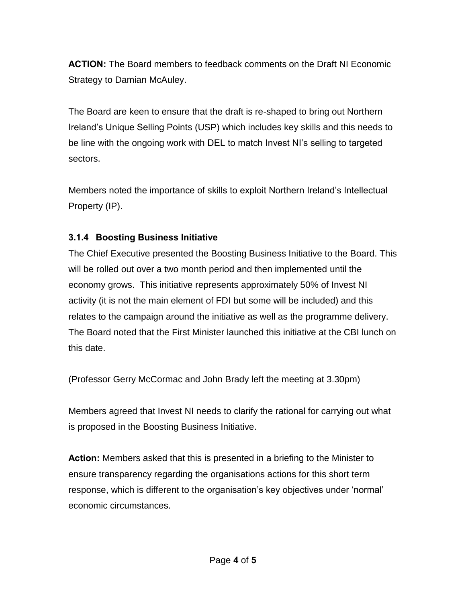**ACTION:** The Board members to feedback comments on the Draft NI Economic Strategy to Damian McAuley.

The Board are keen to ensure that the draft is re-shaped to bring out Northern Ireland's Unique Selling Points (USP) which includes key skills and this needs to be line with the ongoing work with DEL to match Invest NI's selling to targeted sectors.

Members noted the importance of skills to exploit Northern Ireland's Intellectual Property (IP).

### **3.1.4 Boosting Business Initiative**

The Chief Executive presented the Boosting Business Initiative to the Board. This will be rolled out over a two month period and then implemented until the economy grows. This initiative represents approximately 50% of Invest NI activity (it is not the main element of FDI but some will be included) and this relates to the campaign around the initiative as well as the programme delivery. The Board noted that the First Minister launched this initiative at the CBI lunch on this date.

(Professor Gerry McCormac and John Brady left the meeting at 3.30pm)

Members agreed that Invest NI needs to clarify the rational for carrying out what is proposed in the Boosting Business Initiative.

**Action:** Members asked that this is presented in a briefing to the Minister to ensure transparency regarding the organisations actions for this short term response, which is different to the organisation's key objectives under 'normal' economic circumstances.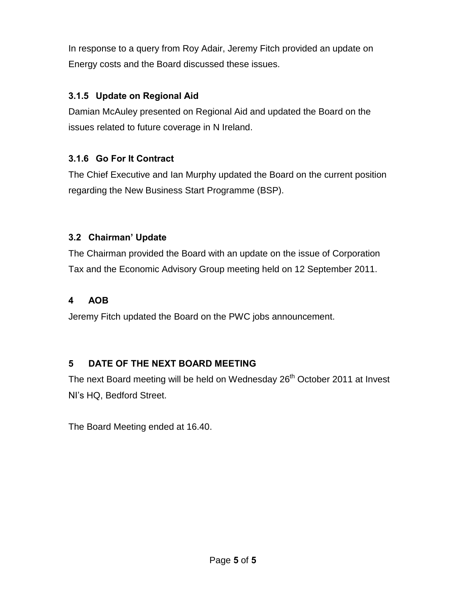In response to a query from Roy Adair, Jeremy Fitch provided an update on Energy costs and the Board discussed these issues.

### **3.1.5 Update on Regional Aid**

Damian McAuley presented on Regional Aid and updated the Board on the issues related to future coverage in N Ireland.

## **3.1.6 Go For It Contract**

The Chief Executive and Ian Murphy updated the Board on the current position regarding the New Business Start Programme (BSP).

### **3.2 Chairman' Update**

The Chairman provided the Board with an update on the issue of Corporation Tax and the Economic Advisory Group meeting held on 12 September 2011.

### **4 AOB**

Jeremy Fitch updated the Board on the PWC jobs announcement.

## **5 DATE OF THE NEXT BOARD MEETING**

The next Board meeting will be held on Wednesday 26<sup>th</sup> October 2011 at Invest NI's HQ, Bedford Street.

The Board Meeting ended at 16.40.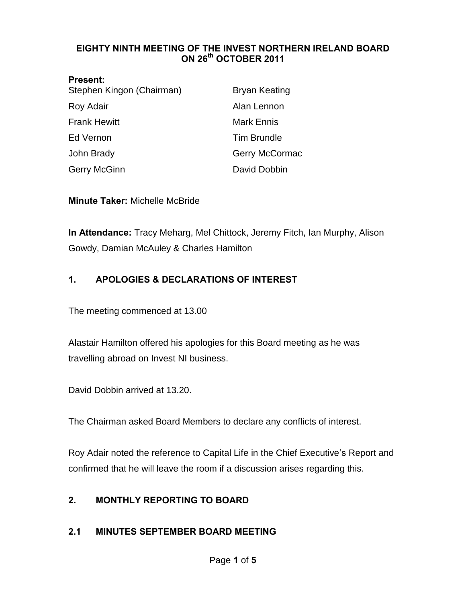#### <span id="page-48-0"></span>**EIGHTY NINTH MEETING OF THE INVEST NORTHERN IRELAND BOARD ON 26th OCTOBER 2011**

| <b>Present:</b><br>Stephen Kingon (Chairman) | <b>Bryan Keating</b> |
|----------------------------------------------|----------------------|
| Roy Adair                                    | Alan Lennon          |
| <b>Frank Hewitt</b>                          | <b>Mark Ennis</b>    |
| Ed Vernon                                    | <b>Tim Brundle</b>   |
| John Brady                                   | Gerry McCormac       |
| Gerry McGinn                                 | David Dobbin         |

**Minute Taker:** Michelle McBride

**In Attendance:** Tracy Meharg, Mel Chittock, Jeremy Fitch, Ian Murphy, Alison Gowdy, Damian McAuley & Charles Hamilton

### **1. APOLOGIES & DECLARATIONS OF INTEREST**

The meeting commenced at 13.00

Alastair Hamilton offered his apologies for this Board meeting as he was travelling abroad on Invest NI business.

David Dobbin arrived at 13.20.

The Chairman asked Board Members to declare any conflicts of interest.

Roy Adair noted the reference to Capital Life in the Chief Executive's Report and confirmed that he will leave the room if a discussion arises regarding this.

#### **2. MONTHLY REPORTING TO BOARD**

#### **2.1 MINUTES SEPTEMBER BOARD MEETING**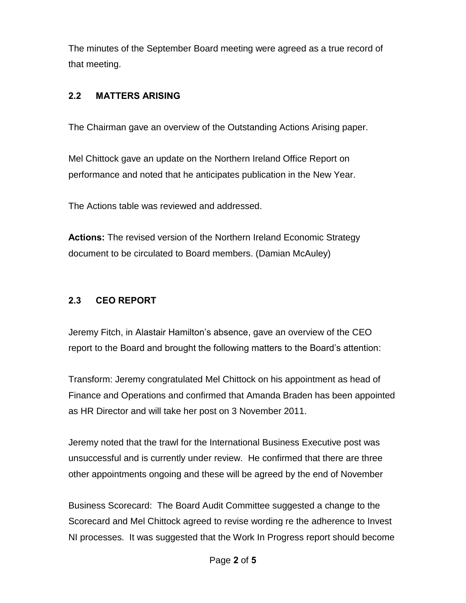The minutes of the September Board meeting were agreed as a true record of that meeting.

### **2.2 MATTERS ARISING**

The Chairman gave an overview of the Outstanding Actions Arising paper.

Mel Chittock gave an update on the Northern Ireland Office Report on performance and noted that he anticipates publication in the New Year.

The Actions table was reviewed and addressed.

**Actions:** The revised version of the Northern Ireland Economic Strategy document to be circulated to Board members. (Damian McAuley)

## **2.3 CEO REPORT**

Jeremy Fitch, in Alastair Hamilton's absence, gave an overview of the CEO report to the Board and brought the following matters to the Board's attention:

Transform: Jeremy congratulated Mel Chittock on his appointment as head of Finance and Operations and confirmed that Amanda Braden has been appointed as HR Director and will take her post on 3 November 2011.

Jeremy noted that the trawl for the International Business Executive post was unsuccessful and is currently under review. He confirmed that there are three other appointments ongoing and these will be agreed by the end of November

Business Scorecard: The Board Audit Committee suggested a change to the Scorecard and Mel Chittock agreed to revise wording re the adherence to Invest NI processes. It was suggested that the Work In Progress report should become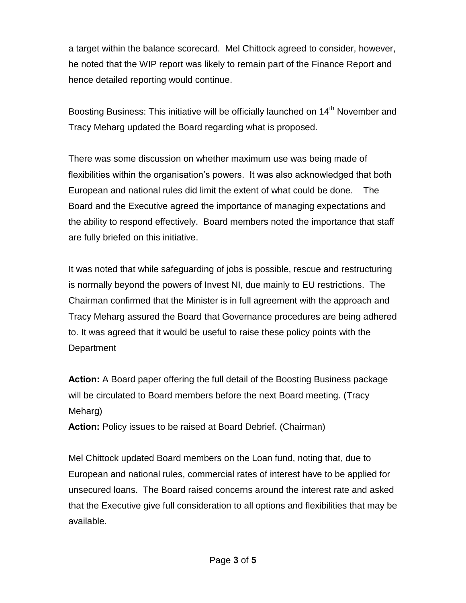a target within the balance scorecard. Mel Chittock agreed to consider, however, he noted that the WIP report was likely to remain part of the Finance Report and hence detailed reporting would continue.

Boosting Business: This initiative will be officially launched on 14<sup>th</sup> November and Tracy Meharg updated the Board regarding what is proposed.

There was some discussion on whether maximum use was being made of flexibilities within the organisation's powers. It was also acknowledged that both European and national rules did limit the extent of what could be done. The Board and the Executive agreed the importance of managing expectations and the ability to respond effectively. Board members noted the importance that staff are fully briefed on this initiative.

It was noted that while safeguarding of jobs is possible, rescue and restructuring is normally beyond the powers of Invest NI, due mainly to EU restrictions. The Chairman confirmed that the Minister is in full agreement with the approach and Tracy Meharg assured the Board that Governance procedures are being adhered to. It was agreed that it would be useful to raise these policy points with the **Department** 

**Action:** A Board paper offering the full detail of the Boosting Business package will be circulated to Board members before the next Board meeting. (Tracy Meharg)

**Action:** Policy issues to be raised at Board Debrief. (Chairman)

Mel Chittock updated Board members on the Loan fund, noting that, due to European and national rules, commercial rates of interest have to be applied for unsecured loans. The Board raised concerns around the interest rate and asked that the Executive give full consideration to all options and flexibilities that may be available.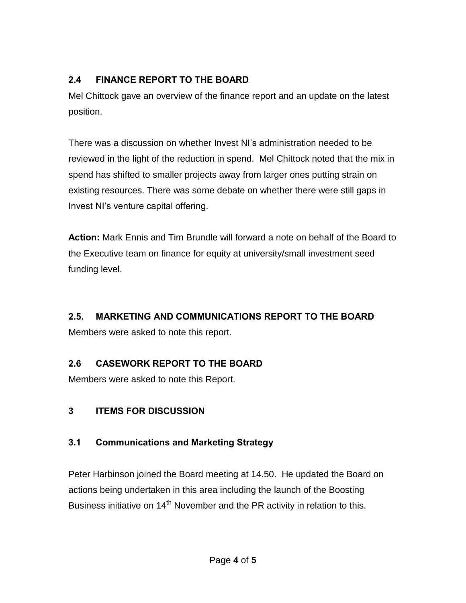## **2.4 FINANCE REPORT TO THE BOARD**

Mel Chittock gave an overview of the finance report and an update on the latest position.

There was a discussion on whether Invest NI's administration needed to be reviewed in the light of the reduction in spend. Mel Chittock noted that the mix in spend has shifted to smaller projects away from larger ones putting strain on existing resources. There was some debate on whether there were still gaps in Invest NI's venture capital offering.

**Action:** Mark Ennis and Tim Brundle will forward a note on behalf of the Board to the Executive team on finance for equity at university/small investment seed funding level.

## **2.5. MARKETING AND COMMUNICATIONS REPORT TO THE BOARD**

Members were asked to note this report.

## **2.6 CASEWORK REPORT TO THE BOARD**

Members were asked to note this Report.

### **3 ITEMS FOR DISCUSSION**

## **3.1 Communications and Marketing Strategy**

Peter Harbinson joined the Board meeting at 14.50. He updated the Board on actions being undertaken in this area including the launch of the Boosting Business initiative on  $14<sup>th</sup>$  November and the PR activity in relation to this.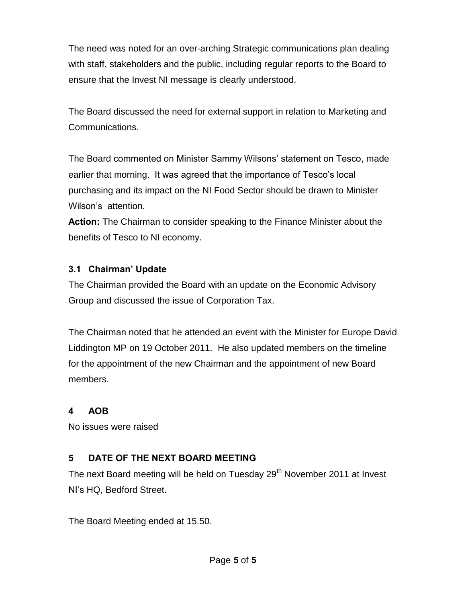The need was noted for an over-arching Strategic communications plan dealing with staff, stakeholders and the public, including regular reports to the Board to ensure that the Invest NI message is clearly understood.

The Board discussed the need for external support in relation to Marketing and Communications.

The Board commented on Minister Sammy Wilsons' statement on Tesco, made earlier that morning. It was agreed that the importance of Tesco's local purchasing and its impact on the NI Food Sector should be drawn to Minister Wilson's attention.

**Action:** The Chairman to consider speaking to the Finance Minister about the benefits of Tesco to NI economy.

### **3.1 Chairman' Update**

The Chairman provided the Board with an update on the Economic Advisory Group and discussed the issue of Corporation Tax.

The Chairman noted that he attended an event with the Minister for Europe David Liddington MP on 19 October 2011. He also updated members on the timeline for the appointment of the new Chairman and the appointment of new Board members.

### **4 AOB**

No issues were raised

## **5 DATE OF THE NEXT BOARD MEETING**

The next Board meeting will be held on Tuesday 29<sup>th</sup> November 2011 at Invest NI's HQ, Bedford Street.

The Board Meeting ended at 15.50.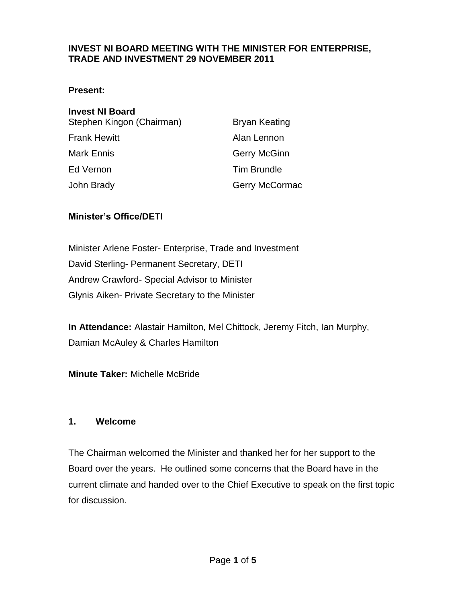#### <span id="page-53-0"></span>**INVEST NI BOARD MEETING WITH THE MINISTER FOR ENTERPRISE, TRADE AND INVESTMENT 29 NOVEMBER 2011**

#### **Present:**

| <b>Bryan Keating</b> |
|----------------------|
| Alan Lennon          |
| Gerry McGinn         |
| <b>Tim Brundle</b>   |
| Gerry McCormac       |
|                      |

#### **Minister's Office/DETI**

Minister Arlene Foster- Enterprise, Trade and Investment David Sterling- Permanent Secretary, DETI Andrew Crawford- Special Advisor to Minister Glynis Aiken- Private Secretary to the Minister

**In Attendance:** Alastair Hamilton, Mel Chittock, Jeremy Fitch, Ian Murphy, Damian McAuley & Charles Hamilton

**Minute Taker:** Michelle McBride

#### **1. Welcome**

The Chairman welcomed the Minister and thanked her for her support to the Board over the years. He outlined some concerns that the Board have in the current climate and handed over to the Chief Executive to speak on the first topic for discussion.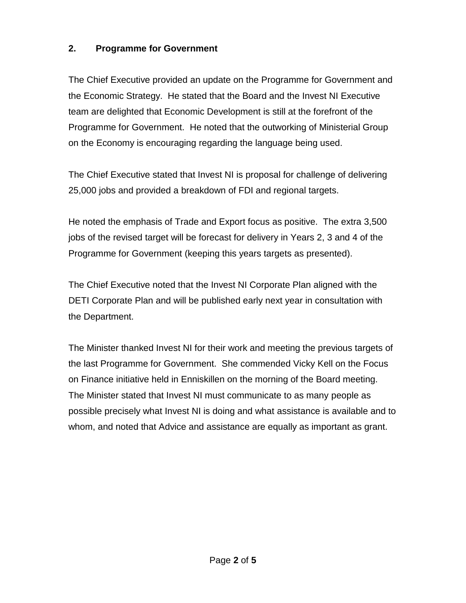### **2. Programme for Government**

The Chief Executive provided an update on the Programme for Government and the Economic Strategy. He stated that the Board and the Invest NI Executive team are delighted that Economic Development is still at the forefront of the Programme for Government. He noted that the outworking of Ministerial Group on the Economy is encouraging regarding the language being used.

The Chief Executive stated that Invest NI is proposal for challenge of delivering 25,000 jobs and provided a breakdown of FDI and regional targets.

He noted the emphasis of Trade and Export focus as positive. The extra 3,500 jobs of the revised target will be forecast for delivery in Years 2, 3 and 4 of the Programme for Government (keeping this years targets as presented).

The Chief Executive noted that the Invest NI Corporate Plan aligned with the DETI Corporate Plan and will be published early next year in consultation with the Department.

The Minister thanked Invest NI for their work and meeting the previous targets of the last Programme for Government. She commended Vicky Kell on the Focus on Finance initiative held in Enniskillen on the morning of the Board meeting. The Minister stated that Invest NI must communicate to as many people as possible precisely what Invest NI is doing and what assistance is available and to whom, and noted that Advice and assistance are equally as important as grant.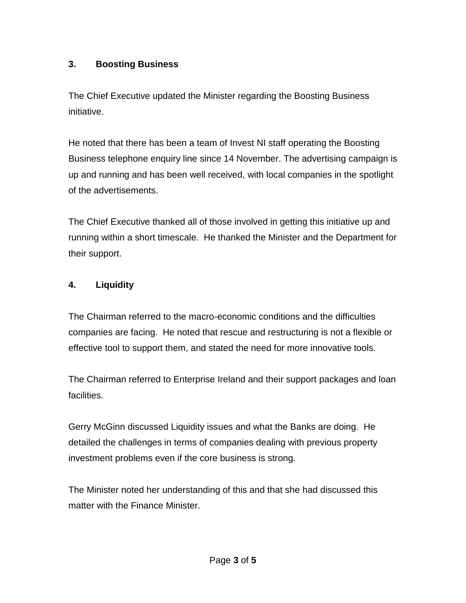## **3. Boosting Business**

The Chief Executive updated the Minister regarding the Boosting Business initiative.

He noted that there has been a team of Invest NI staff operating the Boosting Business telephone enquiry line since 14 November. The advertising campaign is up and running and has been well received, with local companies in the spotlight of the advertisements.

The Chief Executive thanked all of those involved in getting this initiative up and running within a short timescale. He thanked the Minister and the Department for their support.

### **4. Liquidity**

The Chairman referred to the macro-economic conditions and the difficulties companies are facing. He noted that rescue and restructuring is not a flexible or effective tool to support them, and stated the need for more innovative tools.

The Chairman referred to Enterprise Ireland and their support packages and loan facilities.

Gerry McGinn discussed Liquidity issues and what the Banks are doing. He detailed the challenges in terms of companies dealing with previous property investment problems even if the core business is strong.

The Minister noted her understanding of this and that she had discussed this matter with the Finance Minister.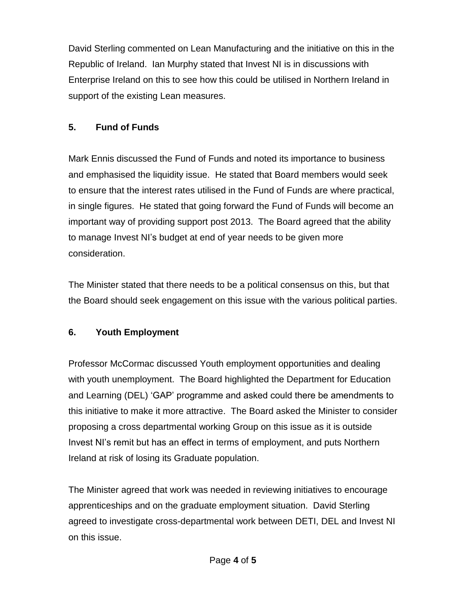David Sterling commented on Lean Manufacturing and the initiative on this in the Republic of Ireland. Ian Murphy stated that Invest NI is in discussions with Enterprise Ireland on this to see how this could be utilised in Northern Ireland in support of the existing Lean measures.

## **5. Fund of Funds**

Mark Ennis discussed the Fund of Funds and noted its importance to business and emphasised the liquidity issue. He stated that Board members would seek to ensure that the interest rates utilised in the Fund of Funds are where practical, in single figures. He stated that going forward the Fund of Funds will become an important way of providing support post 2013. The Board agreed that the ability to manage Invest NI's budget at end of year needs to be given more consideration.

The Minister stated that there needs to be a political consensus on this, but that the Board should seek engagement on this issue with the various political parties.

### **6. Youth Employment**

Professor McCormac discussed Youth employment opportunities and dealing with youth unemployment. The Board highlighted the Department for Education and Learning (DEL) 'GAP' programme and asked could there be amendments to this initiative to make it more attractive. The Board asked the Minister to consider proposing a cross departmental working Group on this issue as it is outside Invest NI's remit but has an effect in terms of employment, and puts Northern Ireland at risk of losing its Graduate population.

The Minister agreed that work was needed in reviewing initiatives to encourage apprenticeships and on the graduate employment situation. David Sterling agreed to investigate cross-departmental work between DETI, DEL and Invest NI on this issue.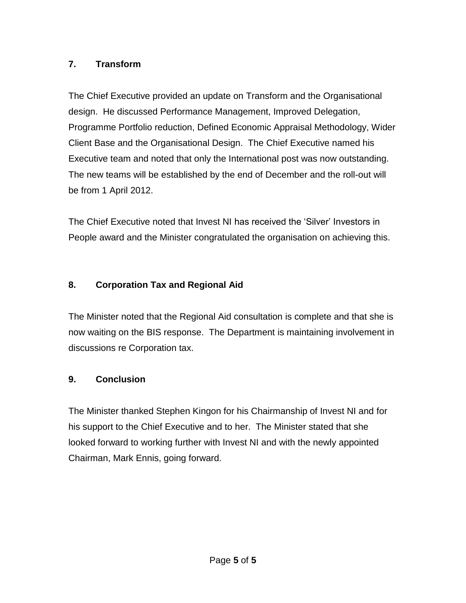## **7. Transform**

The Chief Executive provided an update on Transform and the Organisational design. He discussed Performance Management, Improved Delegation, Programme Portfolio reduction, Defined Economic Appraisal Methodology, Wider Client Base and the Organisational Design. The Chief Executive named his Executive team and noted that only the International post was now outstanding. The new teams will be established by the end of December and the roll-out will be from 1 April 2012.

The Chief Executive noted that Invest NI has received the 'Silver' Investors in People award and the Minister congratulated the organisation on achieving this.

### **8. Corporation Tax and Regional Aid**

The Minister noted that the Regional Aid consultation is complete and that she is now waiting on the BIS response. The Department is maintaining involvement in discussions re Corporation tax.

## **9. Conclusion**

The Minister thanked Stephen Kingon for his Chairmanship of Invest NI and for his support to the Chief Executive and to her. The Minister stated that she looked forward to working further with Invest NI and with the newly appointed Chairman, Mark Ennis, going forward.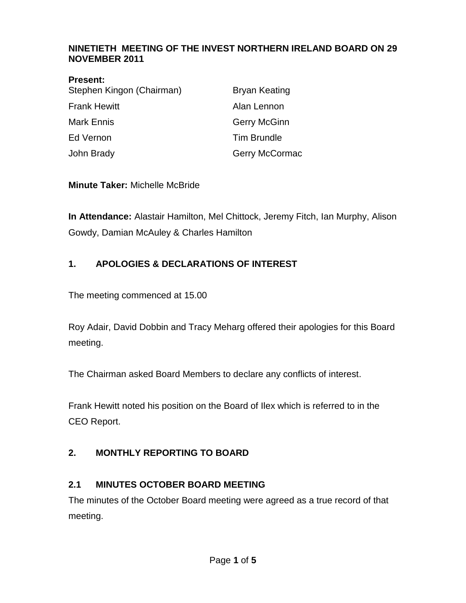#### <span id="page-58-0"></span>**NINETIETH MEETING OF THE INVEST NORTHERN IRELAND BOARD ON 29 NOVEMBER 2011**

|           | <b>Present:</b> |   |
|-----------|-----------------|---|
| <b>A.</b> |                 | . |

| Stephen Kingon (Chairman) | Bryan Keating       |
|---------------------------|---------------------|
| Frank Hewitt              | Alan Lennon         |
| Mark Ennis                | <b>Gerry McGinn</b> |
| Ed Vernon                 | <b>Tim Brundle</b>  |
| John Brady                | Gerry McCormac      |

**Minute Taker:** Michelle McBride

**In Attendance:** Alastair Hamilton, Mel Chittock, Jeremy Fitch, Ian Murphy, Alison Gowdy, Damian McAuley & Charles Hamilton

### **1. APOLOGIES & DECLARATIONS OF INTEREST**

The meeting commenced at 15.00

Roy Adair, David Dobbin and Tracy Meharg offered their apologies for this Board meeting.

The Chairman asked Board Members to declare any conflicts of interest.

Frank Hewitt noted his position on the Board of Ilex which is referred to in the CEO Report.

### **2. MONTHLY REPORTING TO BOARD**

### **2.1 MINUTES OCTOBER BOARD MEETING**

The minutes of the October Board meeting were agreed as a true record of that meeting.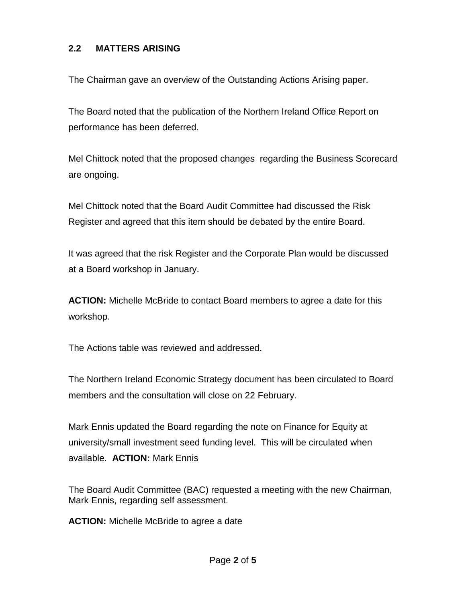#### **2.2 MATTERS ARISING**

The Chairman gave an overview of the Outstanding Actions Arising paper.

The Board noted that the publication of the Northern Ireland Office Report on performance has been deferred.

Mel Chittock noted that the proposed changes regarding the Business Scorecard are ongoing.

Mel Chittock noted that the Board Audit Committee had discussed the Risk Register and agreed that this item should be debated by the entire Board.

It was agreed that the risk Register and the Corporate Plan would be discussed at a Board workshop in January.

**ACTION:** Michelle McBride to contact Board members to agree a date for this workshop.

The Actions table was reviewed and addressed.

The Northern Ireland Economic Strategy document has been circulated to Board members and the consultation will close on 22 February.

Mark Ennis updated the Board regarding the note on Finance for Equity at university/small investment seed funding level. This will be circulated when available. **ACTION:** Mark Ennis

The Board Audit Committee (BAC) requested a meeting with the new Chairman, Mark Ennis, regarding self assessment.

**ACTION:** Michelle McBride to agree a date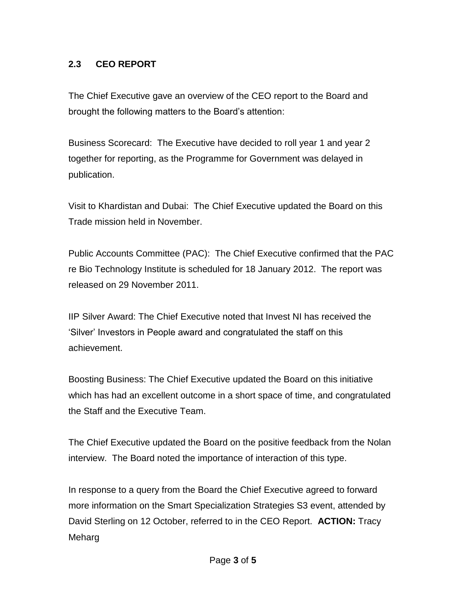### **2.3 CEO REPORT**

The Chief Executive gave an overview of the CEO report to the Board and brought the following matters to the Board's attention:

Business Scorecard: The Executive have decided to roll year 1 and year 2 together for reporting, as the Programme for Government was delayed in publication.

Visit to Khardistan and Dubai: The Chief Executive updated the Board on this Trade mission held in November.

Public Accounts Committee (PAC): The Chief Executive confirmed that the PAC re Bio Technology Institute is scheduled for 18 January 2012. The report was released on 29 November 2011.

IIP Silver Award: The Chief Executive noted that Invest NI has received the 'Silver' Investors in People award and congratulated the staff on this achievement.

Boosting Business: The Chief Executive updated the Board on this initiative which has had an excellent outcome in a short space of time, and congratulated the Staff and the Executive Team.

The Chief Executive updated the Board on the positive feedback from the Nolan interview. The Board noted the importance of interaction of this type.

In response to a query from the Board the Chief Executive agreed to forward more information on the Smart Specialization Strategies S3 event, attended by David Sterling on 12 October, referred to in the CEO Report. **ACTION:** Tracy Meharg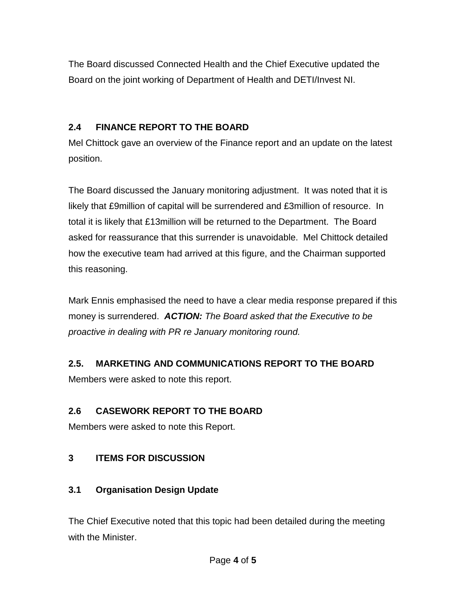The Board discussed Connected Health and the Chief Executive updated the Board on the joint working of Department of Health and DETI/Invest NI.

## **2.4 FINANCE REPORT TO THE BOARD**

Mel Chittock gave an overview of the Finance report and an update on the latest position.

The Board discussed the January monitoring adjustment. It was noted that it is likely that £9million of capital will be surrendered and £3million of resource. In total it is likely that £13million will be returned to the Department. The Board asked for reassurance that this surrender is unavoidable. Mel Chittock detailed how the executive team had arrived at this figure, and the Chairman supported this reasoning.

Mark Ennis emphasised the need to have a clear media response prepared if this money is surrendered. *ACTION: The Board asked that the Executive to be proactive in dealing with PR re January monitoring round.*

## **2.5. MARKETING AND COMMUNICATIONS REPORT TO THE BOARD**

Members were asked to note this report.

## **2.6 CASEWORK REPORT TO THE BOARD**

Members were asked to note this Report.

## **3 ITEMS FOR DISCUSSION**

### **3.1 Organisation Design Update**

The Chief Executive noted that this topic had been detailed during the meeting with the Minister.